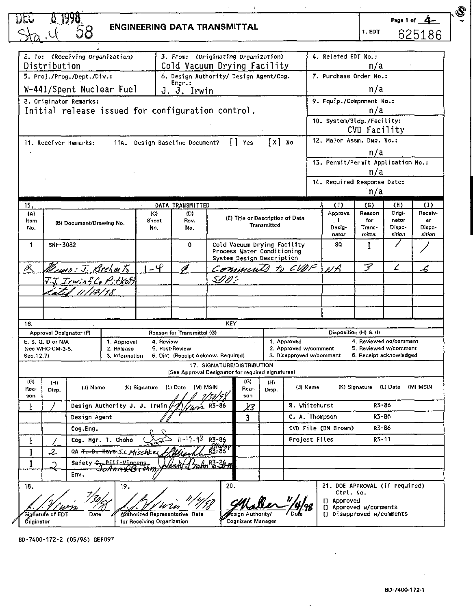|                                                                                                                                                     |                                                                   | <b>ENGINEERING DATA TRANSMITTAL</b>               |                            |                                                       |                |                                                                                        |             |                                                   |                                    |                  |                                                  | Page 1 of 4      |
|-----------------------------------------------------------------------------------------------------------------------------------------------------|-------------------------------------------------------------------|---------------------------------------------------|----------------------------|-------------------------------------------------------|----------------|----------------------------------------------------------------------------------------|-------------|---------------------------------------------------|------------------------------------|------------------|--------------------------------------------------|------------------|
|                                                                                                                                                     | ාර                                                                |                                                   |                            |                                                       |                |                                                                                        |             |                                                   |                                    | 1. EDT           |                                                  | 625186           |
|                                                                                                                                                     |                                                                   |                                                   |                            |                                                       |                |                                                                                        |             |                                                   |                                    |                  |                                                  |                  |
| 2. To: (Receiving Organization)<br>3. From: (Originating Organization)<br>4. Related EDT No.:<br>Distribution<br>Cold Vacuum Drying Facility<br>n/a |                                                                   |                                                   |                            |                                                       |                |                                                                                        |             |                                                   |                                    |                  |                                                  |                  |
|                                                                                                                                                     | 5. Proj./Prog./Dept./Div.:                                        |                                                   |                            | 6. Design Authority/ Design Agent/Cog.                |                |                                                                                        |             |                                                   | 7. Purchase Order No.:             |                  |                                                  |                  |
|                                                                                                                                                     | W-441/Spent Nuclear Fuel                                          |                                                   |                            | Engr.:<br>J. J. Irwin                                 |                |                                                                                        |             |                                                   |                                    | n/a              |                                                  |                  |
|                                                                                                                                                     | 8. Originator Remarks:                                            |                                                   |                            |                                                       |                |                                                                                        |             |                                                   | 9. Equip./Component No.:           |                  |                                                  |                  |
|                                                                                                                                                     |                                                                   | Initial release issued for configuration control. |                            |                                                       |                |                                                                                        |             |                                                   |                                    | n/a              |                                                  |                  |
|                                                                                                                                                     |                                                                   |                                                   |                            |                                                       |                |                                                                                        |             |                                                   | 10. System/Bldg./Facility:         |                  |                                                  |                  |
|                                                                                                                                                     | 11. Receiver Remarks:                                             |                                                   |                            | 11A. Design Baseline Document?                        |                | $\lceil$ Yes                                                                           | [Х] No      |                                                   | 12. Major Assm. Dwg. No.:          | CVD Facility     |                                                  |                  |
|                                                                                                                                                     |                                                                   |                                                   |                            |                                                       |                |                                                                                        |             |                                                   |                                    | n/a              |                                                  |                  |
|                                                                                                                                                     |                                                                   |                                                   |                            |                                                       |                |                                                                                        |             |                                                   | 13. Permit/Permit Application No.: |                  |                                                  |                  |
|                                                                                                                                                     |                                                                   |                                                   |                            |                                                       |                |                                                                                        |             |                                                   |                                    | n/a              |                                                  |                  |
|                                                                                                                                                     |                                                                   |                                                   |                            |                                                       |                |                                                                                        |             |                                                   | 14. Required Response Date:        |                  |                                                  |                  |
|                                                                                                                                                     |                                                                   |                                                   |                            |                                                       |                |                                                                                        |             |                                                   |                                    | n/a              |                                                  |                  |
| 15.<br>(A)                                                                                                                                          |                                                                   |                                                   | (C)                        | DATA TRANSMITTED<br>(D)                               |                |                                                                                        |             |                                                   | (F)<br>Approva                     | (G)<br>Reason    | (H)<br>Origi-                                    | (1)<br>Recaiv-   |
| Item                                                                                                                                                | (B) Document/Drawing No.                                          |                                                   | Sheet                      | Rev.                                                  |                | (E) Title or Description of Data                                                       | Transmitted |                                                   | $\cdot$ 1                          | for              | netor                                            | er               |
| No.                                                                                                                                                 |                                                                   |                                                   | No.                        | No.                                                   |                |                                                                                        |             |                                                   | Desig-<br>nator                    | Trans-<br>mittal | Dispo-<br>sition                                 | Dispo-<br>sition |
| 1                                                                                                                                                   | SNF-3082                                                          |                                                   |                            | $\mathbf 0$                                           |                | Cold Vacuum Drying Facility<br>Process Water Conditioning<br>System Design Description |             |                                                   | <b>SQ</b>                          | 1                |                                                  |                  |
| Q                                                                                                                                                   | Jemo: J. Brehm Fo                                                 |                                                   | $1 - 4$                    | o                                                     |                |                                                                                        |             | Comments to CVDF                                  | a/A                                | -3               | ۷                                                | 6                |
|                                                                                                                                                     | SD 0's<br>7.J. Irwinf Co Pitkoff                                  |                                                   |                            |                                                       |                |                                                                                        |             |                                                   |                                    |                  |                                                  |                  |
|                                                                                                                                                     |                                                                   | 112/98                                            |                            |                                                       |                |                                                                                        |             |                                                   |                                    |                  |                                                  |                  |
|                                                                                                                                                     |                                                                   |                                                   |                            |                                                       |                |                                                                                        |             |                                                   |                                    |                  |                                                  |                  |
|                                                                                                                                                     |                                                                   |                                                   |                            |                                                       |                |                                                                                        |             |                                                   |                                    |                  |                                                  |                  |
| 16.                                                                                                                                                 | Approval Designator (F)                                           |                                                   |                            | Reason for Transmittal (G)                            | <b>KEY</b>     |                                                                                        |             |                                                   | Disposition (H) & (I)              |                  |                                                  |                  |
| E, S, Q, D or N/A                                                                                                                                   |                                                                   | 1. Approval                                       | 4. Review                  |                                                       |                |                                                                                        |             | 1. Approved                                       |                                    |                  | 4. Reviewed no/comment                           |                  |
| (see WHC-CM-3-5,<br>Sec. 12.7)                                                                                                                      |                                                                   | 2. Release<br>3. Information                      |                            | 5. Fost-Review<br>6. Dist. (Receipt Acknow. Required) |                |                                                                                        |             | 2. Approved w/comment<br>3. Disapproved w/comment |                                    |                  | 5. Reviewed w/comment<br>6. Receipt acknowledged |                  |
|                                                                                                                                                     |                                                                   |                                                   |                            |                                                       |                | 17. SIGNATURE/DISTRIBUTION                                                             |             |                                                   |                                    |                  |                                                  |                  |
| (G)<br>(H)                                                                                                                                          |                                                                   |                                                   |                            | (See Approval Designator for required signatures)     |                | (G)                                                                                    | (H)         |                                                   |                                    |                  |                                                  |                  |
| Rea-<br>Disp.<br>son                                                                                                                                | (J) Name                                                          | (K) Signature                                     |                            | (L) Date (M) MSIN                                     |                | Rea-<br>son                                                                            | Disp.       | (J) Name                                          |                                    |                  | (K) Signature (L) Date (M) MSIN                  |                  |
| 1                                                                                                                                                   |                                                                   | Design Authority J. J. Irwin.                     |                            |                                                       | $2022 83 - 86$ | ł3                                                                                     |             | R. Whitehurst                                     |                                    | R3-86            |                                                  |                  |
|                                                                                                                                                     | Design Agent                                                      |                                                   |                            |                                                       |                | 3                                                                                      |             | C. A. Thompson                                    |                                    | R3-86            |                                                  |                  |
|                                                                                                                                                     | Cog.Eng.                                                          |                                                   |                            |                                                       |                |                                                                                        |             |                                                   | CVD File (BM Brown)                | R3-86            |                                                  |                  |
| 1                                                                                                                                                   | 11-19-98<br>Project Files<br>Cog. Mgr. T. Choho<br>R3-86<br>R3-11 |                                                   |                            |                                                       |                |                                                                                        |             |                                                   |                                    |                  |                                                  |                  |
| 2<br>ı                                                                                                                                              |                                                                   | QA <del>T. D. Hays</del> S.L. Mischker            |                            |                                                       |                |                                                                                        |             |                                                   |                                    |                  |                                                  |                  |
| $\mathbf{1}$                                                                                                                                        | Env.                                                              | Safety C. Pili-Vincens                            |                            |                                                       | R3             |                                                                                        |             |                                                   |                                    |                  |                                                  |                  |
| 18.                                                                                                                                                 |                                                                   | 19.                                               |                            |                                                       | 20.            |                                                                                        |             |                                                   | 21. DOE APPROVAL (if required)     |                  |                                                  |                  |
|                                                                                                                                                     |                                                                   |                                                   |                            |                                                       |                |                                                                                        |             |                                                   | Ctrl. No.<br>[] Approved           |                  |                                                  |                  |
|                                                                                                                                                     |                                                                   |                                                   |                            |                                                       |                |                                                                                        |             |                                                   | [] Approved w/comments             |                  |                                                  |                  |
| Signature of EDT<br><b>Originator</b>                                                                                                               | Date                                                              |                                                   | for Receiving Organization | Adthorized Representative Date                        |                | esian Authority.<br>Cognizant Manager                                                  |             |                                                   | [] Disapproved w/comments          |                  |                                                  |                  |

**s0-7400 -172-2 (05/96) GEF097**

ł,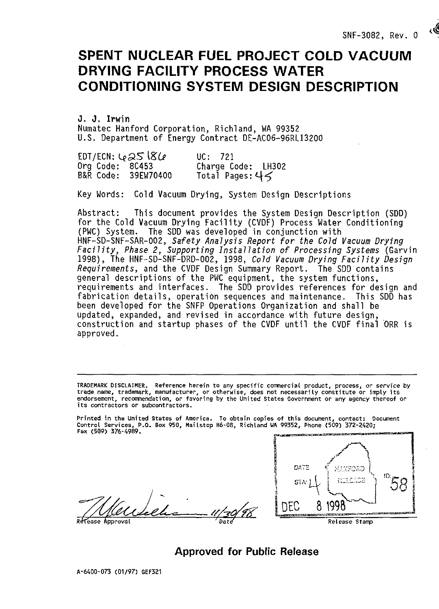

# **SPENT NUCLEAR FUEL PROJECT COLD VACUUM DRYING FACILITY PROCESS WATER CONDITIONING SYSTEM DESIGN DESCRIPTION**

**J. J. Irwin Numatec Hanford Corporation, Richl and, WA 99352 U.S. Department of Energy Contract DE-AC06-96RL13200**

| EDT/ECN: QZS18G     | UC: 721            |  |
|---------------------|--------------------|--|
| Org Code: 8C453     | Charge Code: LH302 |  |
| B&R Code: 39EW70400 | Total Pages:삭S     |  |

**Key Words: Cold Vacuum Drying, System Design Descriptions**

**Abstract: This document provides the System Design Description (SDD)** for the Cold Vacuum Drying Facility (CVDF) Process Water Conditioning<br>(PWC) System. The SDD was developed in conjunction with **HNF-SD-SNF-SAR-O02,** *Safety Ana7ysis Report for the Co7d Vacuum Drying Faci7fty, Phase 2, Supporting Insta77ation of Processing Systems* **(Garvin 1998), The HNF-SD-SNF-DRD-O02, 1998,** *Co7d Vacuum Drying Faci 7ity Design Requirements,* **and the CVDF Design Summary Report. The SDD contains general descriptions of the PWC equipment, the system functions, requirements and interfaces. The SDD provides references for design and fabrication details, operation sequences and maintenance. This SDD has been developed for the SNFP Operations Organization and shal1 be updated, expanded, and revised in accordance with future design, construction and startup phases of the CVDF until the CVDF final ORR is approved.**

TRADEMARK DISCLAIMER. Reference herein to any specific commercial product, process, or service by **trade name, trademark, manufacturer, or otherwise, does not necessari ( y constitute or imp! y its endorsement, recc+mendat ion, or f avori"g by the U"i ted States Government or a"y agency thereof or its contractors or subcontractors.**

**Printed in the United States of America. To obtoin copies of this document, contact: Docuntmt Controt Sewices, P.o. BOX 950, Mai (stop H6-OS, Rich(?md UA 99352, Phome (509) 372-2420; Fax (509) 376-4989.**

Retease Approval

**~;g-~** DEC 8 1998

**Approved for Public Release**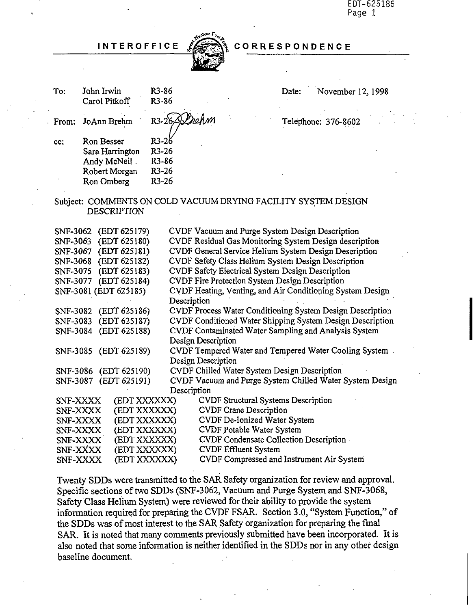**EDT-625186 Page 1**

I



# **INTEROFFICE** *A***<sup>2</sup> CORRESPONDENCE**

| November 12, 1998                                                                                                                                                                                                                                                                                                                                                                                                                                                                                                                                                                                                                                 |
|---------------------------------------------------------------------------------------------------------------------------------------------------------------------------------------------------------------------------------------------------------------------------------------------------------------------------------------------------------------------------------------------------------------------------------------------------------------------------------------------------------------------------------------------------------------------------------------------------------------------------------------------------|
| Telephone: 376-8602                                                                                                                                                                                                                                                                                                                                                                                                                                                                                                                                                                                                                               |
|                                                                                                                                                                                                                                                                                                                                                                                                                                                                                                                                                                                                                                                   |
| Subject: COMMENTS ON COLD VACUUM DRYING FACILITY SYSTEM DESIGN                                                                                                                                                                                                                                                                                                                                                                                                                                                                                                                                                                                    |
| CVDF Vacuum and Purge System Design Description<br>CVDF Residual Gas Monitoring System Design description<br>CVDF General Service Helium System Design Description<br>CVDF Safety Class Helium System Design Description<br>CVDF Safety Electrical System Design Description<br>CVDF Heating, Venting, and Air Conditioning System Design<br>CVDF Process Water Conditioning System Design Description<br>CVDF Conditioned Water Shipping System Design Description<br>CVDF Contaminated Water Sampling and Analysis System<br>CVDF Tempered Water and Tempered Water Cooling System.<br>CVDF Vacuum and Purge System Chilled Water System Design |
| CVDF Condensate Collection Description<br>CVDF Compressed and Instrument Air System                                                                                                                                                                                                                                                                                                                                                                                                                                                                                                                                                               |
|                                                                                                                                                                                                                                                                                                                                                                                                                                                                                                                                                                                                                                                   |

Twenty SDDs were transmitted to the SAR Safety organization for review and approval. Specific sections of two SDDs (SNF-3062, Vacuum and Purge System and SNF-3068, Safety Class Helium System) were reviewed for their ability to provide the system information required for preparing the CVDF FSAR. Section 3.0, "System Function," of the SDDs was of most interest to the SAR Safety organization for preparing the final SAR. It is noted that many comments previously submitted have been incorporated. It is also noted that some information is neither identified in the SDDs nor in any other design baseline document.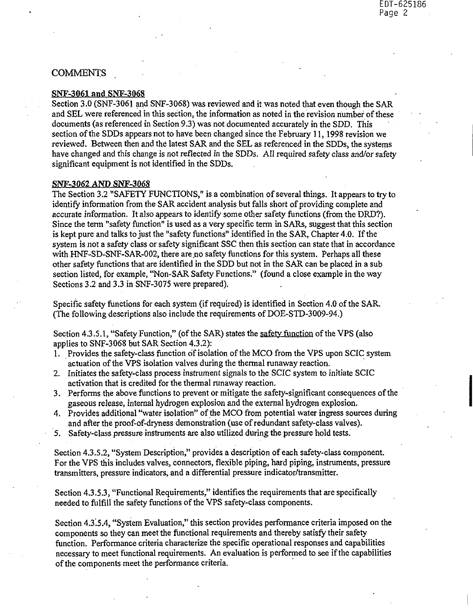# **COMMENTS**

#### SNF-3061 and SNF-3068

Section 3.0 (SNF-3061 and SNF-3068) was reviewed and it was noted that even though the SAR and SEL were referenced in this section, the information as noted in the revision number of these documents (as referenced in Section 9.3) was not documented accurately in the SDD. This section of the SDDS appears not to have been changed since the February 11, 1998 revision we reviewed. Between then and the latest SAR and the SEL as referenced in the SDDS, the systems have changed and this change is not reflected in the SDDs. All required safety class and/or safety significant equipment is not identified in the SDDS.

#### **SNF-3062 AND SNF-3068**

The Section 3.2 "SAFETY FUNCTIONS," is a combination of several thhgs. It appears to try to identify information from the SAR accident analysis but falls short of providing complete and *accurate information.* It also appears to identify some other safety functions (from the DRD?). Since the term "safety function" is used as a very specific term in SARS, suggest that this section is kept pure and talks to just the "safety functions" identified in the SAR, Chapter 4.0. If the system is not a safety class or safety significant SSC then this section can state that in accordance with HNF-SD-SNF-SAR-002, there are no safety functions for this system. Perhaps all these other safety functions that are identified in the SDD but not in the SAR can be placed in a sub section listed, for example, "Non-SAR Safety Functions." (found a close example in the way Sections 3.2 and 3.3 in SNF-3075 were prepared).

Specific safety functions for each system (if required) is identified in Section 4.0 of the SAR. (The following descriptions also include the requirements of DOE-STD-3009-94.)

Section 4.3.5.1, "Safety Function," (of the SAR) states the safety function of the VPS (also applies to SNF-3068 but SAR Section 4.3.2)

- 1. Provides the safety-class function of isolation of the MCO from the VPS upon SCIC system actuation of the VPS isolation valves during the thermal runaway reaction.
- 2. Initiates the safety-class process instrument *signals* to the SCIC system to *initiate* SCIC activation that is credited for the thermal runaway reaction.
- 3. Performs the above functions to prevent or mitigate the safety-significant consequences of the gaseous release, internal hydrogen explosion end the external hydrogen explosion.
- 4. Provides additional "water isolation" of the MCO from potential water ingress sources during and after the proof-of-dryness demonstration (use of redundant safety-class valves).
- 5. Safety-class pressure instruments are also utilized during the pressure hold tests.

Section 4.3.5.2, "System Description," provides a description of each safety-class component. For the VPS this includes valves, connectors, flexible piping, hard piping, instruments, pressure transmitters, pressure indicators, and a differential pressure indicator/transmitter.

Section 4.3.5.3, "Functional Requirements," identifies the requirements that are specifically needed to tidfill the safety functions of the VPS safety-class components.

Section 4.3.5.4, "System Evaluation," this section provides performance criteria imposed on the components so they can meet the functional requirements and thereby satisfy their safety function. Performance criteria characterize the specific operational responses and capabilities necessary to meet functional requirements. An evaluation is performed to see if the capabilities of the components meet the performance criteria.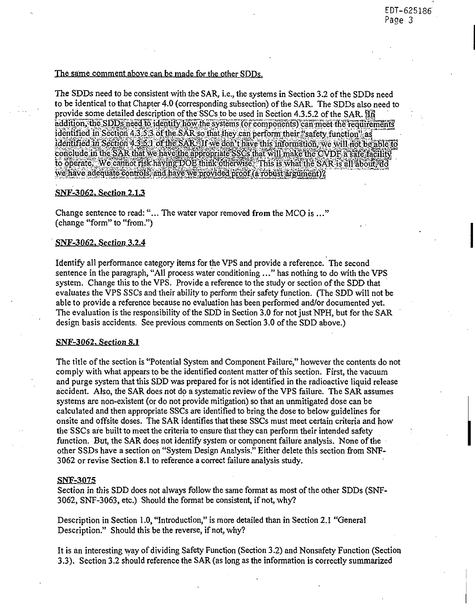**I**

#### The same comment above can be made for the other SDDs.

The SDDs need to be consistent with the SAR, i.e., the systems in Section 3.2 of the SDDs need to be identical to that Chapter 4.0 (corresponding subsection) of the SAR. The SDDs also need to provide some detailed description of the SSCs to be used in Section 4.3.5.2 of the SAR. His addition, the SDDs need to identify how the systems (or components) can meet the requirements identified in Section 4.3.5.3 of the SAR so that they can perform their "safety function" as identified in Section 4.3.5.1 of the SAR. If we don't have this information, we will not be able to conclude in the SAR that we have the appropriate SSCs that will make the CVDF a safe facility to operate. We cannot risk having DOE think otherwise. This is what the SAR is all about, do we have adequate controls, and have we provided proof (a robust argument)?

#### SNF-3062. Section 2.1.3

Change sentence to read: " $\dots$  The water vapor removed from the MCO is  $\dots$ " (change "form" to "from.")

#### $SNF-3062$ , *Section* 3.2.4

Identify all performance category items for the VPS and provide a reference.' The second sentence in the paragraph, "All process water conditioning.. ." has nothing to do with the VPS system. Change this to the VPS. Provide a reference to the study or section of the SDD that evaluates *the* VPS SSCS and their ability to perform their safety function. (The SDD will not be able to provide a reference because no evaluation has been performed and/or documented yet. The evaluation is the responsibility of the SDD in Section 3.0 for not just NPH, but for the SAR design basis accidents. See previous comments on Section 3.0 of the SDD above.)

#### SW -3062. *Section* 8.1

The title of the section is "Potential System and Component Failure: however the contents do not comply with what appears *to* be the identified content matter of this section. First, the vacuum and purge system that this SDD was prepsred for is not identified in the radioactive liquid release *accident.* Also, the SAR does not do a systematic review of the VPS failure. The SAR assumes systems are non-existent (or do not provide mitigation) so that an unmitigated dose can be calculated and then appropriate SSCS are identified to bring the dose to below guidelines for onsite and offsite doses. The SAR identities that these SSCS must meet certain criteria and how the SSCs are built to meet the criteria to ensure that they can perform their intended safety function. But, the SAR does not identify system or component failure analysis. None of the other SSDs have a section on "System Design Analysis." Either delete this section from SNF-3062 or revise Section 8.1 to reference a correct failure analysis study.

#### SNF -3075

*Section in this* SDD does not always follow the same format es most of the other SDDS (SNF-3062, SNF-3063, etc.) Should the format be consistent, if not, why?

Description in Section 1.0, "Introduction," is more detailed than in Section 2.1 "General Description." Should this be the reverse, if not, why?

It is an interesting way of dividing Safety Function (Section 3.2) and Nonsafety Function (Section 3.3). Section 3.2 should reference the SAR (as long as the information is correctly summarized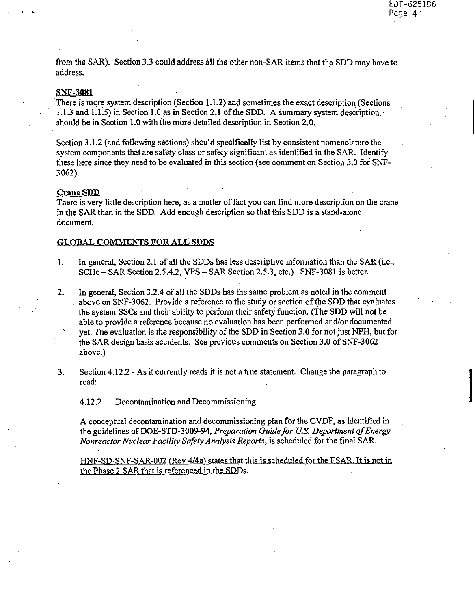from the SAR). Section 3.3 could address all the other non-SAR items that the SDD may have to address.

#### SNF-3081

,..

There is more system description (Section 1.1.2) and sometimes the exact description (Sections 1.1.3 and 1.1.5) in Section 1.0 as in Section 2.1 of the SDD. A summary system description should be in Section 1.0 with the more detailed description in Section 2.0.

Section 3.1.2 (and following sections) should specifically list by consistent nomenclature'the system components that are safety class or safety significant as identified in the SAR. Identify these here since they need to be evaluated in this section (see comment on Section 3.0 for SNF-3062).

#### Crane SDD

There is very little description here, as a matter of fact you can find more description on the crane in the SAR than in the SDD. Add enough description so that this SDD is a stand-alone document.

#### GLOBAL COMMENTS FOR ALL SDDS

- 1. In general, Section 2.1 of all the SDDS has less descriptive information than the SAR (i.e., SCHe - SAR Section 2.5.4.2, VPS - SAR Section 2.5.3, etc.). SNF-3081 is better.
- 2. In general, Section 3.2.4 of all the SDDS has the same problem as noted in the comment above on SNF-3062. Provide a reference to the study or section of the SDD that evaluates the system SSCS and their ability to perform their safety function. (The SDD will not be able to provide a reference because no evaluation has been performed and/or documented yet. The *evaluation is the* responsibility of tire SDD in Section 3.0 for not just NPH, but for the SAR design basis accidents. See previous comments on Section 3.0 of SNF-3062 above.)
- 3. Section 4.12.2- As it currently reads it is not a true statement. Change the paragraph to read

4.12.2 Decontamination and Decommissioning

A conceptual decontamination end decommissioning plan for the CVDF, as identified in the guidelines of DOE-STD-3009-94, *Preparation Guide for US. Department of Energy Nonreactor Nuclear Facility Safety Analysis Reports,* is scheduled for the final SAR.

HNF-SD-SNF-SAR-002 (Rev 4/4a) states that this is scheduled for the FSAR. It is not in the Phase 2 SAR that is referenced in the SDDs.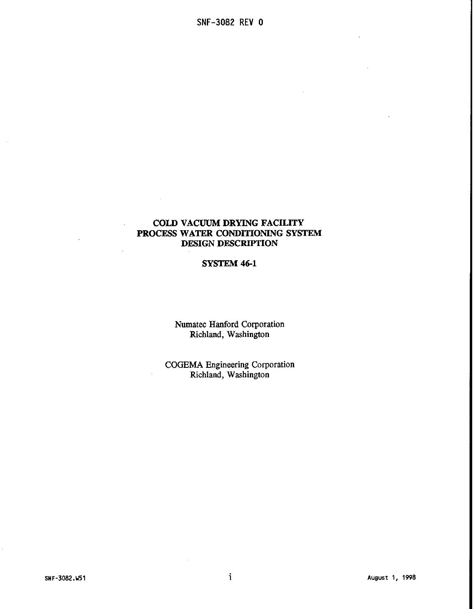## COLD VACUUM DRYING FACILITY PROCESS WATER CONDITIONING SYSTEM DESIGN DESCRIPTION

# SYSTEM 46-1

Numatec Hanford Corporation Rlchland, Washington

COGEMA Engineering Corporation Richland, Washington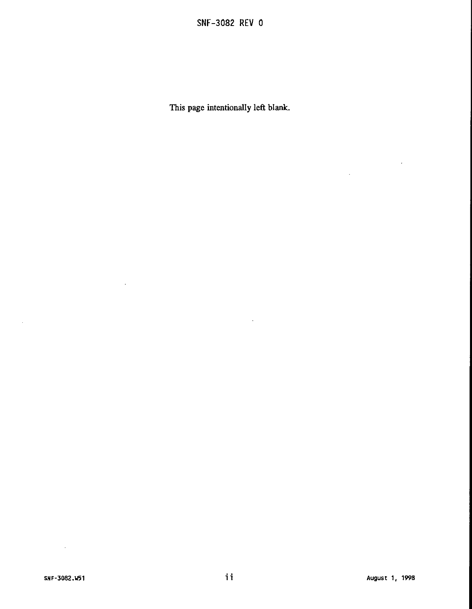This page intentionally left blank.

 $\sim 10^{-11}$ 

 $\mathcal{L}^{\text{max}}_{\text{max}}$  and  $\mathcal{L}^{\text{max}}_{\text{max}}$ 

 $\sim 10^{-11}$ 

 $\sim$ 

 $\sim$   $\sim$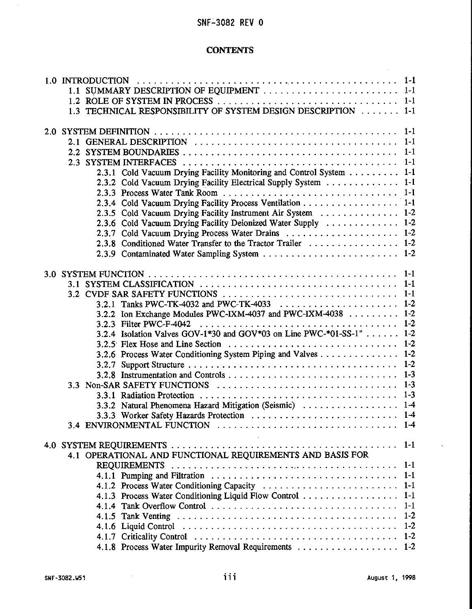# **CONTENTS**

|  | 1.1 SUMMARY DESCRIPTION OF EQUIPMENT  1-1                                                                 |         |
|--|-----------------------------------------------------------------------------------------------------------|---------|
|  |                                                                                                           |         |
|  | 1.3 TECHNICAL RESPONSIBILITY OF SYSTEM DESIGN DESCRIPTION  1-1                                            |         |
|  |                                                                                                           | $1 - 1$ |
|  |                                                                                                           | $1 - 1$ |
|  |                                                                                                           | $1 - 1$ |
|  |                                                                                                           | $1 - 1$ |
|  | 2.3.1 Cold Vacuum Drying Facility Monitoring and Control System 1-1                                       |         |
|  | 2.3.2 Cold Vacuum Drying Facility Electrical Supply System  1-1                                           |         |
|  |                                                                                                           |         |
|  | 2.3.4 Cold Vacuum Drying Facility Process Ventilation 1-1                                                 |         |
|  | 2.3.5 Cold Vacuum Drying Facility Instrument Air System  1-2                                              |         |
|  | 2.3.6 Cold Vacuum Drying Facility Deionized Water Supply  1-2                                             |         |
|  |                                                                                                           |         |
|  | 2.3.8 Conditioned Water Transfer to the Tractor Trailer  1-2                                              |         |
|  |                                                                                                           |         |
|  |                                                                                                           |         |
|  |                                                                                                           |         |
|  |                                                                                                           |         |
|  | 3.2 CVDF SAR SAFETY FUNCTIONS                                                                             | $1-1$   |
|  |                                                                                                           |         |
|  | 3.2.2 Ion Exchange Modules PWC-IXM-4037 and PWC-IXM-4038  1-2                                             |         |
|  | 3.2.4 Isolation Valves GOV-1*30 and GOV*03 on Line PWC-*01-SS-1" 1-2                                      |         |
|  |                                                                                                           |         |
|  |                                                                                                           |         |
|  | 3.2.6 Process Water Conditioning System Piping and Valves 1-2                                             | $1-2$   |
|  |                                                                                                           |         |
|  |                                                                                                           |         |
|  |                                                                                                           |         |
|  |                                                                                                           |         |
|  | 3.3.2 Natural Phenomena Hazard Mitigation (Seismic)  1-4                                                  |         |
|  | 3.4 ENVIRONMENTAL FUNCTION $\ldots \ldots \ldots \ldots \ldots \ldots \ldots \ldots \ldots \ldots \ldots$ |         |
|  | $\sim$                                                                                                    |         |
|  |                                                                                                           |         |
|  | 4.1 OPERATIONAL AND FUNCTIONAL REQUIREMENTS AND BASIS FOR                                                 |         |
|  |                                                                                                           | $1-1$   |
|  |                                                                                                           |         |
|  |                                                                                                           |         |
|  | 4.1.3 Process Water Conditioning Liquid Flow Control  1-1                                                 |         |
|  |                                                                                                           |         |
|  |                                                                                                           |         |
|  |                                                                                                           |         |
|  |                                                                                                           |         |
|  | 4.1.8 Process Water Impurity Removal Requirements  1-2                                                    |         |

i.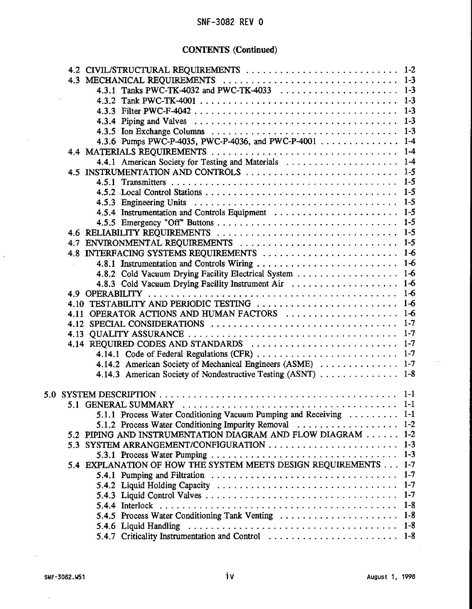# CONTENTS (Continued)

|  |                                                                                       | $1 - 3$ |
|--|---------------------------------------------------------------------------------------|---------|
|  |                                                                                       | $1 - 3$ |
|  |                                                                                       | $1 - 3$ |
|  |                                                                                       | $1 - 3$ |
|  | 4.3.6 Pumps PWC-P-4035, PWC-P-4036, and PWC-P-4001                                    | $1-4$   |
|  | 4.4 MATERIALS REQUIREMENTS                                                            | $1-4$   |
|  | 4.4.1 American Society for Testing and Materials                                      | $1 - 4$ |
|  | 4.5 INSTRUMENTATION AND CONTROLS                                                      | $1 - 5$ |
|  |                                                                                       | $1-5$   |
|  |                                                                                       |         |
|  |                                                                                       |         |
|  |                                                                                       |         |
|  |                                                                                       |         |
|  |                                                                                       |         |
|  |                                                                                       |         |
|  | 4.8 INTERFACING SYSTEMS REQUIREMENTS  1-6                                             |         |
|  |                                                                                       |         |
|  | 4.8.2 Cold Vacuum Drying Facility Electrical System  1-6                              |         |
|  | 4.8.3 Cold Vacuum Drying Facility Instrument Air                                      | $1-6$   |
|  |                                                                                       | $1-6$   |
|  |                                                                                       |         |
|  | 4.11 OPERATOR ACTIONS AND HUMAN FACTORS  1-6                                          |         |
|  |                                                                                       |         |
|  |                                                                                       | $1 - 7$ |
|  |                                                                                       |         |
|  |                                                                                       |         |
|  |                                                                                       |         |
|  | 4.14.3 American Society of Nondestructive Testing (ASNT) 1-8                          |         |
|  |                                                                                       | $1 - 1$ |
|  |                                                                                       | $1 - 1$ |
|  | 5.1.1 Process Water Conditioning Vacuum Pumping and Receiving $\dots \dots \dots 1-1$ |         |
|  |                                                                                       |         |
|  | 5.2 PIPING AND INSTRUMENTATION DIAGRAM AND FLOW DIAGRAM 1-2                           |         |
|  | 5.3 SYSTEM ARRANGEMENT/CONFIGURATION  1-3                                             |         |
|  |                                                                                       |         |
|  | 5.4 EXPLANATION OF HOW THE SYSTEM MEETS DESIGN REQUIREMENTS 1-7                       |         |
|  |                                                                                       | $1 - 7$ |
|  |                                                                                       | $1 - 7$ |
|  |                                                                                       |         |
|  |                                                                                       |         |
|  |                                                                                       |         |
|  |                                                                                       |         |
|  |                                                                                       |         |
|  | 5.4.7 Criticality Instrumentation and Control  1-8                                    |         |

 $\bar{\psi}$ 

 $\epsilon$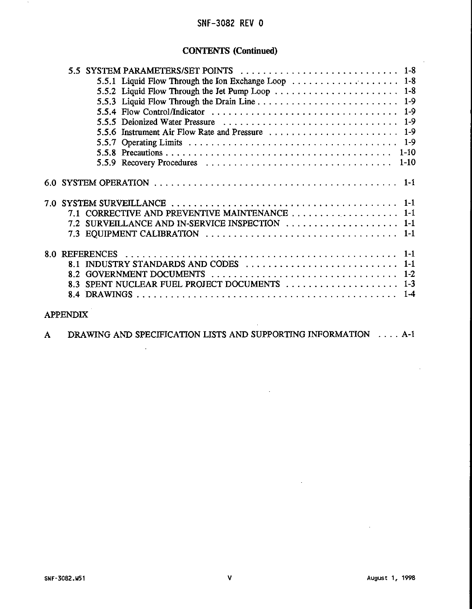# **SNF-3082 REV O**

# **CONTENTS** (Continued)

| 5.5.7                                          |  |
|------------------------------------------------|--|
| $1 - 10$                                       |  |
| $1-10$                                         |  |
|                                                |  |
|                                                |  |
|                                                |  |
| 7.1 CORRECTIVE AND PREVENTIVE MAINTENANCE  1-1 |  |
|                                                |  |
|                                                |  |
|                                                |  |
|                                                |  |
|                                                |  |
|                                                |  |
| 8.3 SPENT NUCLEAR FUEL PROJECT DOCUMENTS  1-3  |  |
|                                                |  |
|                                                |  |

# APPENDIX

 $\bar{z}$ 

 $\lambda$ 

|  | DRAWING AND SPECIFICATION LISTS AND SUPPORTING INFORMATION A-1 |
|--|----------------------------------------------------------------|
|--|----------------------------------------------------------------|

l,

 $\sim$ 

÷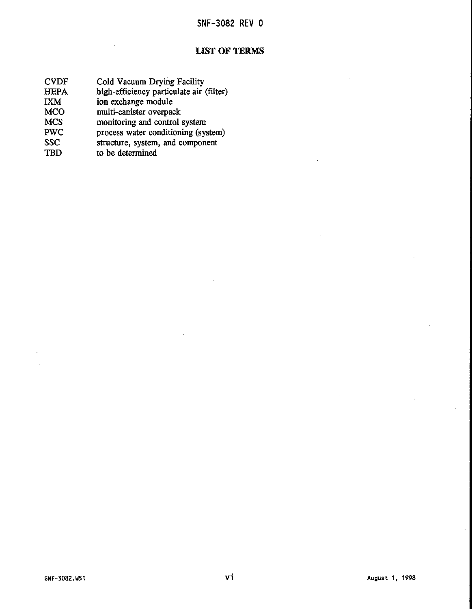# LIST OF TERMS

- CVDF Cold Vacuum Drying Facility
- HEPA high-efficiency particulate air (filter)

IXM ion exchange module

**MCO** multi-canister overpack

**MCS** monitoring and control system

- Pwc process water conditioning (system)
- Ssc structure, system, and component
- TBD to be determined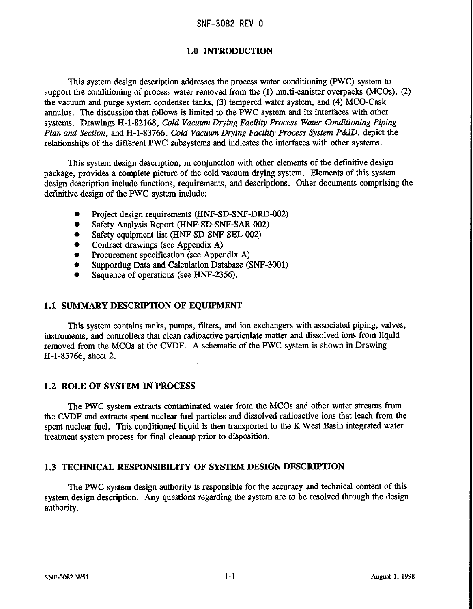#### **SNF-3082 REV O**

## 1.0 INTRODUCTION

This system design description addresses the process water conditioning (PWC) system to support the conditioning of process water removed from the (1) multi-canister overpacks (MCOs), (2) the vacuum and purge system condenser tanka, (3) tempered water system, and (4) MCO-Caak armrdus. The discussion that follows is limited to the PWC system and its interfaces with other syatema. Drawings H-1-82168, *Cbld Vacuum Drying Facility Process Warer Conditioning Piping Plan and Se&"on,* and **II-I-83766,cold** *Vacuum Drying Facility Process System P&ID,* depict the relationships of the different PWC subsystems and indicates the interfaces with other systems.

This system design description, in conjunction with other elements of the definitive design package, provides a complete picture of the cold vacuum drying system. Elements of this system design description include functions, requirements, and descriptions. Other documents comprising the definitive design of the PWC system include

- . Project design requirements (HNF-SD-SNF-DRD-002)
- Safety Analysis Report (HNF-SD-SNF-SAR-002)<br>● Safety equipment list (HNF-SD-SNF-SEL-002)
- Safety equipment list (HNF-SD-SNF-SEL-002)<br>• Contract drawings (see Annendix A)
- Contract drawings (see Appendix A)<br>● Procurement specification (see Appen
- Procurement specification (see Appendix A)<br>● Supporting Data and Calculation Database (S
- Supporting Data and Calculation Database (SNF-3001)
- Sequence of operations (see HNF-2356).

#### **1.1 SUMMARY** DESCRIPTION OF EQUIPMENT

This system contains tanka, pumps, fiitera, and ion exchangers with associated piping, valves, instruments, and controllers that clean radioactive particulate matter and dissolved ions from liquid removed from the MCOS at the CVDF. A schematic of the PWC system is shown in Drawing H-l-83766, sheet 2.

#### 1.2 ROLE OF SYSTEM IN PROCESS

The PWC system extracts contaminated water from the MCOS and other water streams from the CVDF and extracts spent nuclear fuel particles and dissolved radioactive iona that leach from the spent nuclear fuel. This conditioned liquid is then transported to the K West Basin integrated water treatment system process for final cleanup prior to disposition.

#### 1.3 TECHNICAL RESPONSIBILITY OF **SYSTEM** DESIGN DESCRIPTION

The PWC system design authority is responsible for the accuracy and technical content of this system design description. Any questions regarding the system are to be resolved through the design authority.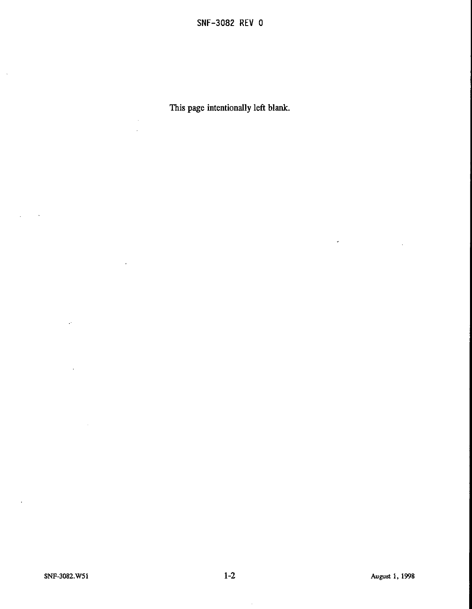This page intentionally left blank.

l,

 $\ddot{\phantom{a}}$ 

J.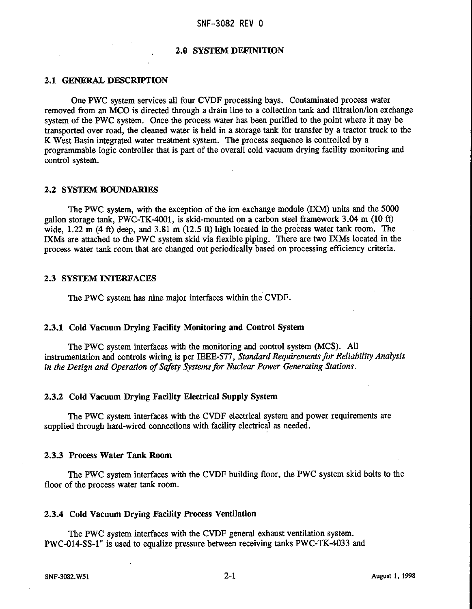#### 2.0 SYSTEM DEFINITIO

#### **2.1** GENERAI. DESCRIPTION

One PWC system services all four CVDF processing baya. Contaminated process water removed from an MCO is directed through a drain line to a collection tank and filtration/ion exchange system of the PWC system. Once the process water haa been purified to the point where it may be transported over road, the cleaned water is held in a storage tank for transfer by a tractor truck to the K West Basin integrated water treatment system. The process sequence is controlled by a programmable logic controller that is part of the overall cold vacuum drying facility monitoring and control system.

## 2.2 SYSTEM BOUNDARIES

The PWC system, with the exception of the ion exchange module (IXM) units and the 5000 gallon storage tank, PWC-TK-4001, is skid-mounted on a carbon steel framework 3.04 m (10 ft) wide,  $1.22$  m  $(4 \text{ ft})$  deep, and  $3.81$  m  $(12.5 \text{ ft})$  high located in the process water tank room. The IXMS are attached to the PWC system skid via flexible piping. There are two IXMS located in the process water tank room that are changed out periodically based on processing efficiency criteria.

## 2.3 SYSTEM INTERFACES

The PWC system has nine major interfaces within the CVDF.

#### 2.3.1 Cold Vacuum Drying Facility Monitoring and Control System

The PWC system interfaces with the monitoring and control system (MCS). All instrumentation and controls wiring is per IEEE-577, *Standard Requirerrwnts for Reliability Amlysis in the Design and Operation of Safety Systems for Nuclear Power Generating Stations.* 

#### *2.3.2* **Cold** Vacuum Drying Facility Electrical Supply System

The PWC system interfaces with the CVDF electrical system and power requirements are supplied through hard-wired connections with facility electrical as needed.

#### 2.3.3 process Water Tank Room

The PWC system interfaces with the CVDF building floor, the PWC system skid bolts to the floor of the process water tank room.

#### 2.3.4 Cold Vacuum Drying Facility Process Ventilation

The PWC system interfaces with the CVDF general exhaust ventilation system. PWC-014-SS-l° is used to equalize pressure between receiving tanks PWC-TK-4033 and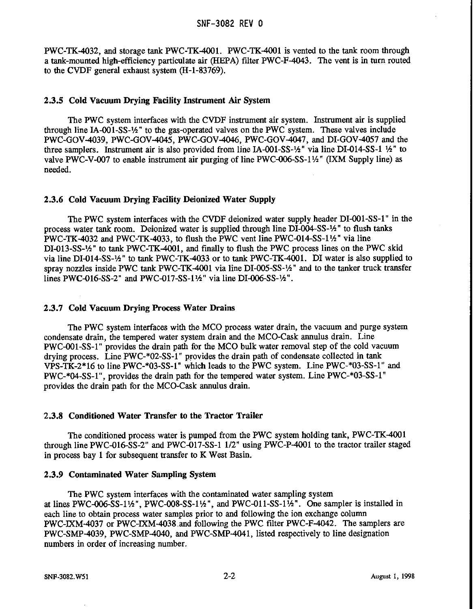#### **SNF-3082 REV O**

PWC-TK-4032, and storage tank PWC-TK-4001. PWC-TK-4001 is vented to the tank room through a tank-mounted high-efficiency particulate air (HEPA) filter PWC-F-4043. The vent is in turn routed to the CVDF general exhaust system (H-l-83769).

#### *2.3.5* **Cold Vacuum Drying Farility Instrument Air System**

The PWC system interfaces with the CVDF instrument air system. Instrument air is supplied through line lA-001-SS-%" to the gas-operated valves on the PWC system. These valves include PWC-GOV-4039, PWC-GOV445, PWC-GOV-4046, PWC-GOV4347, and DI-GOV-4057 and the three samplers. Instrument air is also provided from line lA-001-SS-%" via line DI-014-SS-1 %" to valve PWC-V-007 to enable instrument air purging of line PWC-006-SS-1 $\frac{1}{2}$ " (IXM Supply line) as needed.

## 2.3.6 **Cold Vacuum Drying Facifity Deionized Water Supply**

The PWC system interfaces with the CVDF deionized water supply header DI-001-SS-1" in the process water tank room. Deionized water is supplied through line D1-004-SS-%" to flush tanks PWC-TK-4032 and PWC-TK-4033, to flush the PWC vent line PWC-014-SS-11/2" via line DI-013-SS-1/2" to tank PWC-TK-4001, and finally to flush the PWC process lines on the PWC skid via line DI-O14-SS-%" to tank PWC-TK4033 or to tank PWC-TK-4001. DI water is also supplied to spray nozzles inside PWC tank PWC-TK-4001 via line  $DI$ -005-SS- $\frac{1}{2}$ " and to the tanker truck transfer lines PWC-016-SS-2" and PWC-017-SS-1%" via line D1-006-SS-%".

## **2.3.7** Cold Vacuum Drying Process Water Drains

The PWC system interfaces with the MCO process water drain, the vacuum and purge system condensate drain, the tempered water system drain and the MCO-Caak ammlus drain. Line PWC-001-SS-1" provides the drain path for the MCO bulk water removal step of the cold vacuum drying process. Line PWC-\*02-SS-1" provides the drain path of condensate collected in tank VPS-TK-2\*16 to line PWC-\*03-SS-1" which leads to the PWC system. Line PWC-\*03-SS-1" and PWC-\*04-SS-1", provides the drain path for the tempered water system. Line PWC-\*03-SS-1" provides the drain path for the MCO-Caak snnulus drain.

#### 2.3.8 **Conditioned Water Transfer to the Tractor Trailer**

The conditioned process water is pumped from the PWC system holding tank, PWC-TK-4001 through line PWC-016-SS-2" and PWC-017-SS-1 1/2" using PWC-P-4001 to the tractor trailer staged in process bay 1 for subsequent transfer to K West Basin.

#### 2.3.9 **Contaminated Water Sampling System**

The PWC system interfaces with the contaminated water sampling system at lines PWC-006-SS-1 %", PWC-008-SS-1 %", and PWC-011-SS-1 %". One sampler is installed in each line to obtain process water sarnplea prior to and following the ion exchange column PWC-IKM-4037 or PWC-IXM4038 and following the PWC filter PWC-F-4042. The samplers are PWC-SMP-4039, PWC-SMP-4040, and PWC-SMP4041, listed respectively to line designation numbers in order of increasing number.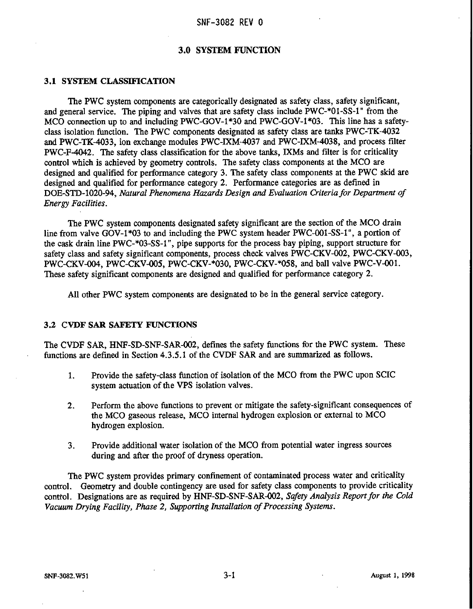## **SNF-3082 REV O**

# 3.0 SYSTEM FUNCTION

#### **3.1 SYSTEM CLASSIFICATION**

The PWC system components are categorically designated as safety class, safety significant, and general service. The piping and valvea that are safety class include PWC-\*01-SS-1" from the MCO connection up to and including  $PWC-GOV-1*30$  and  $PWC-GOV-1*03$ . This line has a safetyclass isolation tlrnction. The PWC components designated as safety class are tanks PWC-TK-4032 and PWC-TK-4033, ion exchange modules PWC-IXM-4037 and PWC-IXM4038, and process filter PWC-F4042. The safety class classification for the above tanks, IXMS and filter is for criticality control which is achieved by geometry controls. The safety class components at the MCO are designed and qualified for performance category 3. The safety class components at the PWC skid are designed and qualified for performance category 2. Performance categories are as defined in DOE-STD-1020-94, *Natural Phenomena Hazards Design and Evaluation Criteria for Department of Energy Facilities.*

The PWC system components designated safety significant are the section of the MCO drain line from valve GOV-1\*03 to and including the PWC system header PWC-001-SS-1", a portion of the cask drain line PWC-\*03-SS-1", pipe supports for the process bay piping, support structure for safety class and safety significant components, process check valves PWC-CKV-002, PWC-CKV-003, PWC-CKV-004, PWC-CKV-005, PWC-CKV-\*030, PWC-CKV-\*058, and ball valve PWC-V-001. These safety significant components are designed and qualified for performance category 2.

All other PWC system components are designated to be in the general service category.

#### **3.2 CVDF SAR SAFETY FUNCTIONS**

The CVDF SAR, HNF-SD-SNF-SAR-O02, definea the safety functions for the PWC system. These functions are defined in Section 4.3.5.1 of the CVDF SAR and are summarized as follows.

- 1. Provide the safety-class function of isolation of the MCO from the PWC upon SCIC system actuation of the VPS isolation valvea.
- *2.* Perform the above functions to prevent or mitigate the safety-significant consequences of the MCO gaseous release, MCO internal hydrogen explosion or external to MCO hydrogen explosion.
- 3. Provide additional water isolation of the MCO from potential water ingress sources during and after the proof of dryness operation.

The PWC system provides primary confinement of contaminated process water and criticality control. Geometry and double contingency are used for safety class components to provide criticality conttol. Deaignationa are as required by HNF-SD-SNF-SAR-O02, *Safety Analysis Report for the Cbld Vacuum Drying Facility, Phase 2, Supporting Installation of Processing Systems.*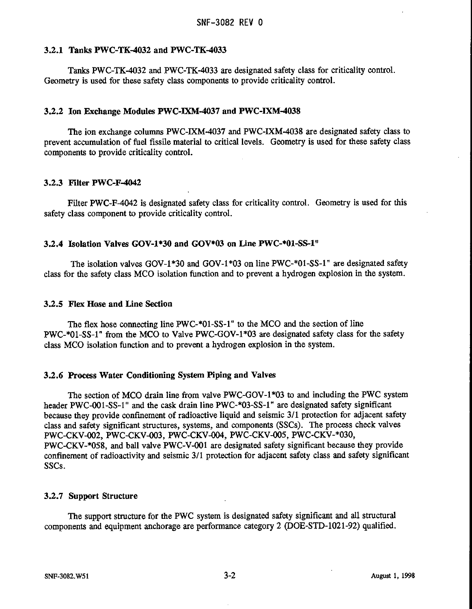## **3.2.1 Tanks PWC-TK-4032 and PWC-TK-4033**

Tanks PWC-TK-4032 and PWC-TK-4033 are designated safety class for criticality control. Geometry is used for these safety class components to provide criticality control.

## 3.2.2 Ion Exchange Modules PWC-IKM-4037 and PWC-IKM-4038

The ion exchange columns PWC-IXM-4037 and PWC-IKM-4038 are designated safety class to prevent accumulation of tirel fissile material to critical levels. Geometry is used for these safety class components to provide criticality control.

## 3.2.3 Filter PWC-F-4042

Filter PWC-F-4042 is designated safety class for criticality control. Geometry is used for this safety class component to provide criticality control.

## 3.2.4 Isolation Valves GOV-1\*30 and GOV\*03 on Line PWC-\*01-SS-l°

The isolation valves GOV-1\*30 and GOV-1\*03 on line PWC-\*01-SS-1" are designated safety class for the safety class MCO isolation function and to prevent a hydrogen explosion in the system.

#### 3.2.5 Flex Hose and Ilne Section

The flex hose connecting line PWC-\*01-SS-1" to the MCO and the section of line PWC-\*01-SS-1" from the MCO to Valve PWC-GOV-1\*03 are designated safety class for the safety class MCO isolation tlmction and to prevent a hydrogen explosion in the system.

## 3.2.6 Process Water Conditioning System Piping and Valves

The section of MCO drain line from valve  $PWC-GOV-1*03$  to and including the PWC system header PWC-001-SS-1" and the cask drain line PWC-\*03-SS-1" are designated safety significant because they provide confinement of radioactive liquid and seismic 3/1 protection for adjacent safety class and safety significant structures, systems, and components (SSCS). The process check valves PWC-CKV-002, PWC-CKV-003, PWC-CKV-004, PWC-CKV-005, PWC-CKV-\*030, PWC-CKV-\*058, and ball valve PWC-V-001 are designated safety significant because they provide confinement of radioactivity and seismic 3/1 protection for adjacent safety class and safety significant Sscs.

## 3.2.7 Support Structure

The support structure for the PWC system is designated safety significant and all structural components and equipment anchorage are performance category 2 (DOE-STD-1O21-92) qualified.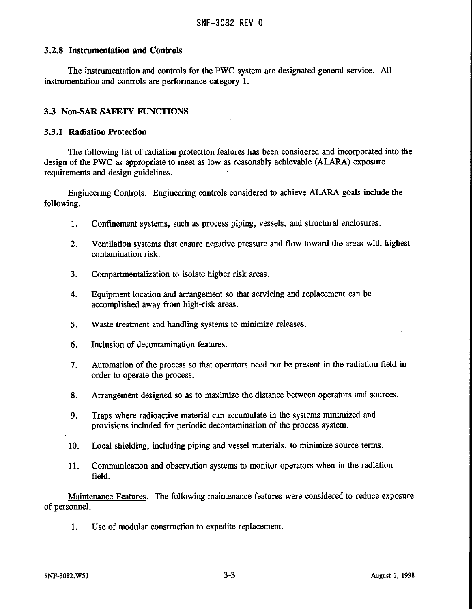## 3.2.8 Instrumentation and Controls

The instrumentation and controls for the PWC system are designated general service. All instrumentation and controls are performance category 1.

## 3.3 **Non-SAR SAFETY FUNCTIONS**

## **3.3.1 Radiation Protection**

**The** following list of radiation protection featurea has been considered and incorporated *into the* design of the PWC as appropriate to meet as low as reasonably achievable (ALARA) exposure requirements and design guidelines.

Engineering Controls. Engineering controls considered to achieve ALARA goals include the following.

- 1. Confinement systems, such as process piping, vessels, and structural enclosures.
	- 2. Ventilation systems that ensure negative pressure and flow toward the areas with higheat contamination risk.
	- 3. Compartmentalization to isolate higher risk areas.
	- 4. Equipment location and arrangement so that servicing and replacement can be accomplished away from high-risk areas.
	- 5. Waste treatment and handling systems to minimize releases.
	- 6. Inclusion of decontamination featurea.
	- 7. Automation of the process so that operators need not be present in the radiation field in order to operate the process.
	- 8. Arrangement designed so as to maximize the distance between operators and sources.
	- 9. Traps where radioactive material can accumulate in the systems minimized and provisions included for periodic decontamination of the process system.
	- 10. Local shielding, including piping and vessel materials, to minimize source terms.
	- 11. Communication and observation systems to monitor operators when in the radiation field.

**Maintenance** Features. The **following maintenance feahrres were considered to reduce exposure of personnel.**

1. Use of modular construction to expedite replacement.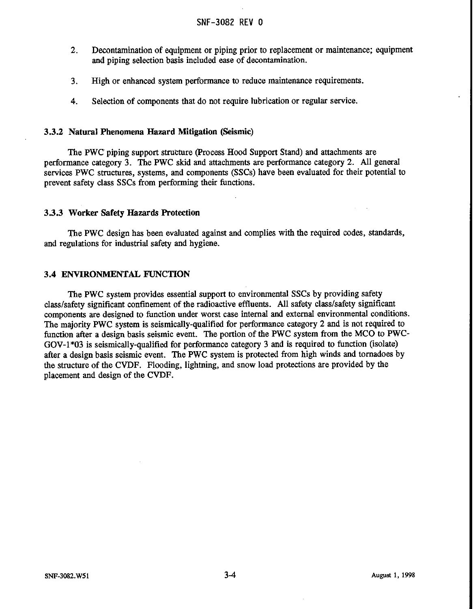- 2. Decontamination of equipment or piping prior to replacement or maintenance; equipment and piping selection baais included ease of decontamination.
- 3. High or enhanced system performance to reduce maintenance requirements.
- 4. Selection of components that do not require lubrication or regular service

#### 3.3.2 Natural Phenomena Hazard Mitigation (Seismic)

The PWC piping support stratture (process Hood Support Stand) and attachments are performance category 3. The PWC akid and attachments are performance category 2. All general services PWC structures, systems, and components (SSCs) have been evaluated for their potential to prevent safety class SSCs from performing their timctions.

#### 3.3.3 Worker Safety Hazards Protection

The PWC design haa been evafuated against and complies with the required codes, standards, and regulations for industrial safety and hygiene.

#### 3.4 ENVIRONMENTAL FUNCTION

The PWC system provides essential support to environmental SSCs by providing safety claas/safety significant confinement of the radioactive effluents. All safety claas/safety significant components are designed to function under worst case internal and external environmental conditions. The majority PWC system is seismically-qualified for performance category 2 and is not required to function after a design baais seismic event. The portion of the PWC system from the MCO to PWC-GOV-1\*03 is seismically-qualified for performance category 3 and is required to function (isolate) after a design basis seismic event. The PWC system is protected from high winds and tornadoes by the structure of the CVDF. Flooding, lightning, and snow load protecliona are provided by the placement and design of the CVDF.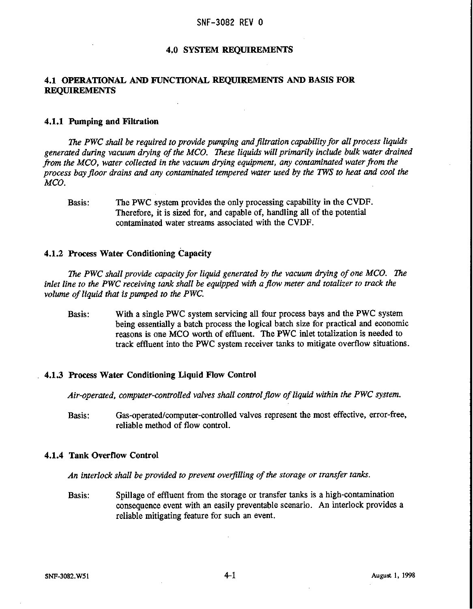#### **SNF-3082 REV O**

## **4.0 SYSTEM REQUIREMENTS**

## **4.1 OPERATIONAL AND FUNCTIONAL REQUIREMENTS AND BASIS FOR REQUIREMENTS**

#### **4.1.1 Pumping and 131tration**

*The PWC shall be required to provide pumping andjiltrotion capability for all process liquids generated during vacuum drying of the MCO. i%ese liquids w"llprimarily include btdk water drained from the MCO, water collected in the vacuum drying eqrdpmtmt, any contaminated waterjiom dw process bayjloor drains and any coruaminated tempered water used by the TWS to hat and cool the MCO.*

Basis: The PWC system provides the only processing capability in the CVDF. Therefore, it is sized for, and capable of, handling all of the potential contaminated water streams associated with the CVDF.

## **4.1.2 Process Water Conditioning Capacity**

 $PWC$  *shall provide capacity for liquid generated by the vacuum drying of one MCO. The inlet line to the PWC receiving tank shall be equipped with* a jlow *meter and totalizer to track the volunw of liquid that is pumped to tti PWC.*

Baais: With **a single** PWC system servicing all four process bays and the PWC system being essentially a batch process the logical batch size for practical and economic reasons ia one MCO worth of effluent. The PWC inlet totalization is needed to track effluent into the PWC system receiver tanks to mitigate overflow situations.

# **4.1.3 Proeesa Water Conditioning Liquid Flow Control**

*Air-operated, computer-controlled valves shall controlflow of liquid within tk? PWC system.*

Basis: Gas-operated/computer-controlled valves represent the most effective, error-free, reliable method of flow control.

#### **4.1.4 Tank Overflow Control**

*An interlock shall be provided to prevent overfilling of the storage or transfer tanks.*

Baais: Spiflage of **effluent from the storage or transfer tanka is a high-contamination** consequence event with an easily preventable scenario. An interlock provides a reliable mitigating feature for such an event.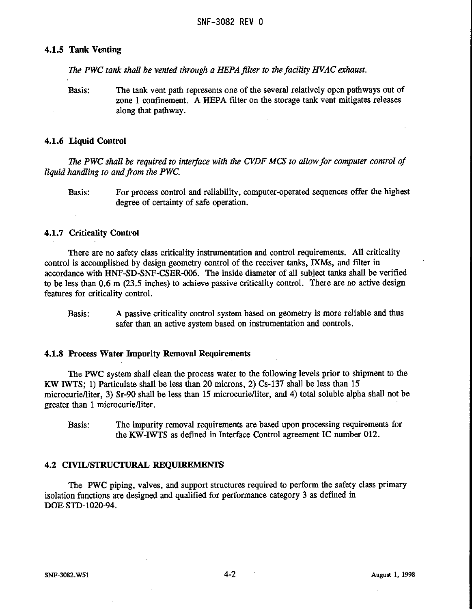## **4.1.5 Tank Venting**

*lhe PWC tank shall be vented through a HEPA jilter to the facility HVAC exhaust.*

Basis: The tank vent path represents one of the several relatively open pathways out of zone 1 confinement. A HEPA filter on the storage tank vent mitigates releases along that pathway.

#### **4.1.6 Liquid Control**

*The PWC shall be required to interj?acewith tlw CVDF MCS to allow for computer control of liquid handling to andfrom tlw PWC.*

Basis: For process control and reliability, computer-operated sequences offer the highest degree of certainty of safe operation.

## **4.1.7 Criticality Control**

There are no safety class criticality instrumentation and control requirements. All criticality control is accomplished by design geometry control of the receiver tanka, IXMS, and filter *in* accordance with HNF-SD-SNF-CSER-O06. The inside diameter of all subject tanks shall be verified to be leas than 0.6 m (23.5 inches) to achieve passive criticality control. There are no active design features for criticality control.

Basis: A passive criticality control system based on geometry is more reliable and thus safer than an active system based on instrumentation and controls.

## **4.1.8 Process Water Impurity Removal Requirements**

The PWC system shafl clean the process water to the following levels prior to shipment to the KW IWTS; 1) Particulate shall be less than 20 microns, 2) CS-137 shall be less than 15 microcurie/liter, 3) Sr-90 shafl be less than 15 microcurie/liter, and 4) total soluble alpha shall not be greater than 1 microcurie/liter.

## 4.2 **CJYIL/STRUCTURAL REQUIREMENTS**

The PWC piping, valves, and support structures required to perform the safety class primary isolation functions are designed and qualified for performance category 3 aa defined in DOE-STD-1O2O-94.

Baais: The impurity removal requirements are baaed upon processing requirements for the KW-IWTS aa defined in Interface Control agreement IC number 012.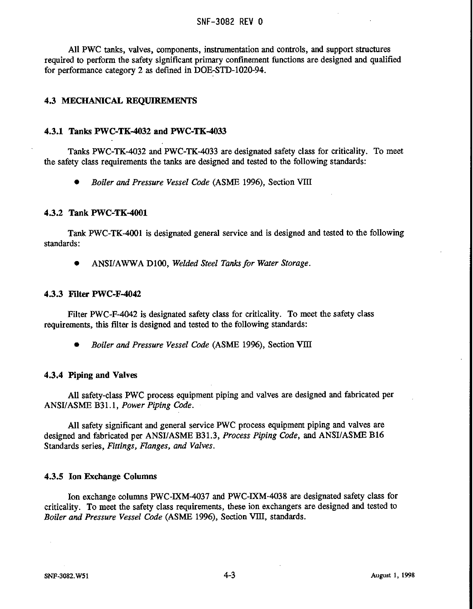All PWC tanka, valves, components, instrumentation and controls, and support structures required to perform the safety significant primary confinement functions are designed and qualified for performance category 2 as defined in DOE-STD-1O2O-94.

## 4.3 MECHANICAL REQUIREMENTS

## **4.3.1 Tanka PWC-TK-4032 and PWC-TK-4033**

Tanka PWC-TK4032 and PWC-TK-4033 are designated safety class for criticality. To meet the safety class requirements the tanks are designed and tested to the following standards:

*. Boiler and Pressure Vessel Code* (ASME 1996), Section VIII

## 4.3.2 Tank PWC-TK-4001

Tank PWC-TK-4001 is designated general service and is designed and tested to the following standards:

● ANSIIAWWA D1OO, *Welded Steel Tanksfor Water Storage.*

## 4.3.3 Filtex PWC-F-4042

Filter PWC-F-4042 is designated safety class for criticality. To meet the safety class requirements, this filter is designed and tested to the following standards:

● *Boiler and Pressure Vessel Code* (ASME 1996), Section VIII

## 4.3.4 Piping and Valves

All safety-class PWC process equipment piping and valves are designed and fabricated per ANSIIASMEB31. 1, *Power Piping Code.*

All safety significant and general service PWC process equipment piping and valves are designed and fabricated per ANSI/ASME B31.3, *Process Piping Code*, and ANSI/ASME B16 Standards series, *Fittings, Flanges, and Valves.*

## 4.3.5 Ion Exchange Columns

Ion exchange columns PWC-IXM-4037 and PWC-IXM-4038 are designated safety class for criticality. To meet the safety class requirements, these ion exchangers are designed and tested to *Boiler and Pressure Vessel Code* (ASME 1996), Section VIII, standards.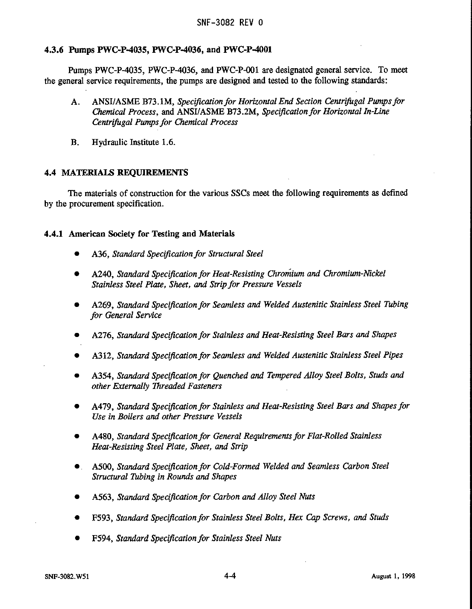## **4.3.6 pumps PWC-P-4035, PWC-P=-\$036,and PWC-P-4001**

**Pomps** PWC-P-4035, PWC-P-4036, and PWC-P-001 are designated general service. To meet the general service requirements, the pumps are designed and tested to the following standards:

- A. ANSIIASME B73. IM, *Specification for Horizontal End Section Centnigol Pumps for Chemical Process, and* ANSUASM13B73.2M, *Spec@cation for Horizontal In-Line*  $Centrifued$  *Pumps* for *Chemical Process*
- B. Hydraulic Institute 1.6.

## 4.4 MATERIALS REQUIREMENTS

The materials of construction for the various SSCs meet the following requirements as defined by the procurement specification.

## 4.4.1 American society for Testing and Materials

- $\bullet$ A36, *Standard Specification for Structural Steel*
- *A240, Standard Spec@cotion for Heat-Resisting Chromium and Chromium-Nickel Stainless Steel Plate, Sheet, and Strip for Pressure Vessels*
- *A269, Standard Specijic@"onfor Seamless and Welded Austenitic Stairdess Steel Tubing for General Service*
- *A276, Standard Specification for Stainless and Heat-Resisting Steel Bars and Shapes*
- *A3 12, Standard Specification for Seamless and Welded Austenitic Staitdess Steel Pipes*
- $\bullet$ *A354, Standard Specijcation for Quenched atrd Tempered Alloy Steel Bolts, Studs and*  $other$  *Externally Threaded Fasteners*
- *A479, Standard Specijicotion for Stainless and Heat-Resisting Steel Bars and Shapes for Use in Boilers and other Pressure* Vessels
- A480, *Standard Specification for General Requirements for Flat-Rolled Stainless Heat-Resisting Steel Plate, Sheet, and Strip*
- $\bullet$ . *A500, Standard specl~cation for Cbld-Formed Welded and Seamless Carbon Steel Strucruraf Tubing in Rounds and Shapes*
- *A563, Standard Specification for Carbon and Alloy Steel Nuts*
- *F593, Standard Specification for Stainless Steel Bolts, Ha Cap Screws, and Studs*
- *F594, Standard Specific@"onfor Stainless Steel Nuts*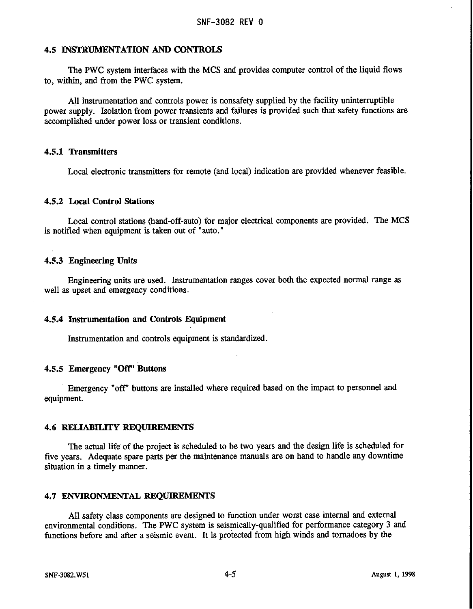## 4.5 INSTRUMENTATION AND CONTROLS

The PWC system interfaces with the MCS and provides computer control of the liquid flows to, within, and from the PWC system.

All instrumentation and controls power is nonsafety supplied by the facility uninterruptible power supply. Isolation from power transients and failures is provided such that safety functions are accomplished under power loss or transient conditions.

## **4.5.1 Transmitters**

**Local electronic transmitters for remote (and local) indication are provided whenever feasible.**

## 4.5.2 Local Control Stations

Local control stationa (hand-off-auto) for major electrical components are provided. The MCS is notified when equipment is taken out of "auto."

## 4.5.3 Engineering Unita

Engineering units are used. Instrumentation ranges cover both the expected normat range as well as upset and emergency conditions.

#### 4.5.4 Instrumentation and Controla Equipment

Instrumentation and controls equipment is standardized.

# 4.5.5 Emergency "Off" Buttom

Emergency "off" buttons are installed where required based on the impact to personnel and equipment.

#### 4.6 RELIABILITY REQUIREMENTS

The actual life of the project is scheduled to be two years and the design life is scheduled for five years. Adequate spare parts per the maintenance manuals are on hand to handle any downtime situation in a timely manner.

## 4.7 ENVIRONMENTAL REQUIREMENTS

All safety class components are designed to function under worst case internal and external environmental conditions. The PWC system is seismically-qualified for performance category 3 and functions before and after a seismic event. It is protected from high winds and tornadoes by the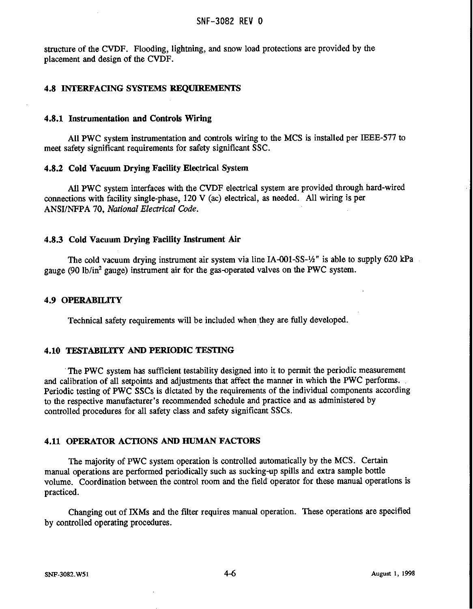structure of the CVDF. Flooding, lightning, and snow load protections are provided by the placement and design of the CVDF.

## 4.8 INTERFACING SYSTEMS REQUIREMENTS

#### **4.8.1 Instrumentation and Controk Wiring**

All PWC system instrumentation and controls wiring to the MCS is instatled per IEEE-577 to meet safety significant requirements for safety significant SSC.

## 4.8.2 Cold Vacuum Drying Facility Electrical System

All PWC system interface with the CVDF electrical system are provided through hard-wired connections with facility single-phase, 120 V (ac) electrical, as needed. All wiring is per ANSI/NFPA 70, National Electrical Code.

## *4.8.3* **Cold Vacuum Drying Facitity Instrument Air**

The cold vacuum drying instrument air system via line IA-001-SS- $\frac{1}{2}$ " is able to supply 620 kPa gauge (90 lb/in<sup>2</sup> gauge) instrument air for the gas-operated valves on the PWC system.

## *4.9* **OPERABILITY**

Technical safety requirements will be included when they are fully developed.

#### **4.10 TESTABILITY AND PERIODIC TESTING**

The PWC system haa sufficient testability designed into it to permit the periodic measurement and calibration of all setpoints and adjustments that affect the manner in which the PWC performs. Periodic testing of PWC SSCs is dictated by the requirements of the individual components according to the respective manufacturer's recommended schedule and practice and as administered by controlled procedures for all safety class and safety significant SSCs.

## **4.11 OPERATOR ACTIONS AND HIJMAN FACTORS**

The majority of PWC system operation is controlled automatically by the MCS. Certain manual operations are performed periodically such as sucking-up spills and extra sample bottle volume. Coordination between the control room and the field operator for these manual operations is practiced.

Changing out of IXMS and the filter requires manual operation. These operations are specified by controlled operating procedures.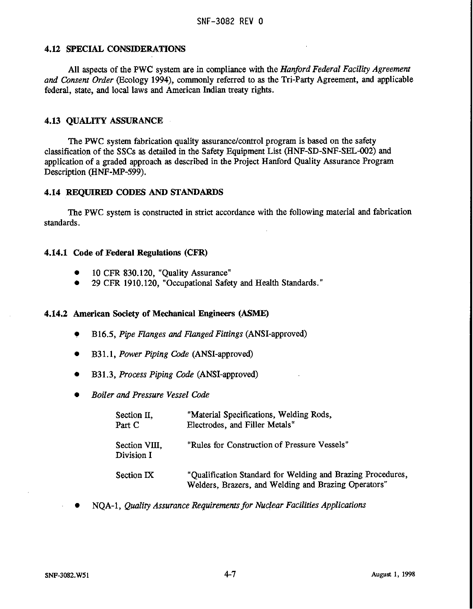## **4.12 SPECIAL CONSIDERATIONS**

All aspects of the PWC system are in compliance with the *Hanford Federal Facility Agreement and Consew Order* (Ecology 1994), commonly referred to as the Tri-Party Agreement, and applicable federal, state, and local laws and American Indian treaty rights.

## **4.13 QUALITY ASSURANCE**

The PWC system fabrication quality assurance/control program is based on the safety classification of the SSCS as detailed in the Safety Equipment List (HNF-SD-SNF-SEL-002) and application of a graded approach se described in the Project Hanford Quality Assurance Program Description (HNF-MP-599).

#### **4.14 REQUIRED CODES AND STANDARDS**

The PWC **system ia constructed** in strict accordance with the following material and fabrication standards.

## **4.14.1 Code of Federal Regulations (CFR)**

- 10 CFR 830.120, "Quality Assurance"
- . 29 CFR 1910.120, "Occupational Safety and Health Standards."

#### **4.14.2 American Se&ty of Mwhanical Engineers (ASME)**

- . B16.5, *Pipe Flanges and Flanged Fittings* (ANSI-approved)
- B31.1, *Power Piping Code* (ANSI-approved)
- B31.3, *Process Piping Cbde* (ANSI-approved)
- *. Boiler and Pressure Vessel Cbde*

| Section II.<br>Part C       | "Material Specifications, Welding Rods,<br>Electrodes, and Filler Metals"                                           |
|-----------------------------|---------------------------------------------------------------------------------------------------------------------|
| Section VIII,<br>Division I | "Rules for Construction of Pressure Vessels"                                                                        |
| <b>Section IX</b>           | "Oualification Standard for Welding and Brazing Procedures,<br>Welders, Brazers, and Welding and Brazing Operators" |

● NQA-1, *Quafiry Assurance Requirements for Nuclear Facilities Applicm"ons*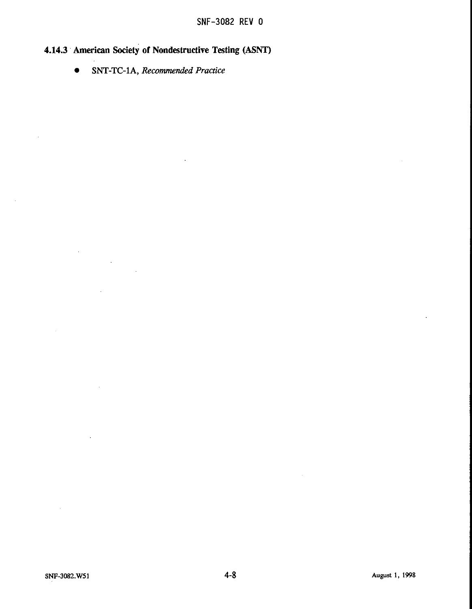- **4.14.3 Ameriran Swiety of Nondestructive Testing (ASNT)**
	- **SNT-TC-IA,** *Recommended Practice*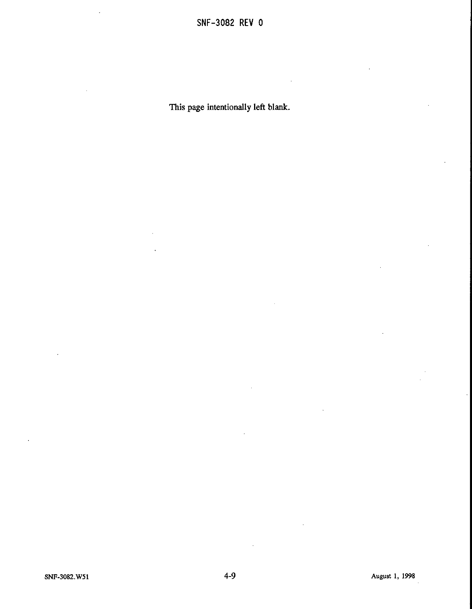This page intentionally left blank.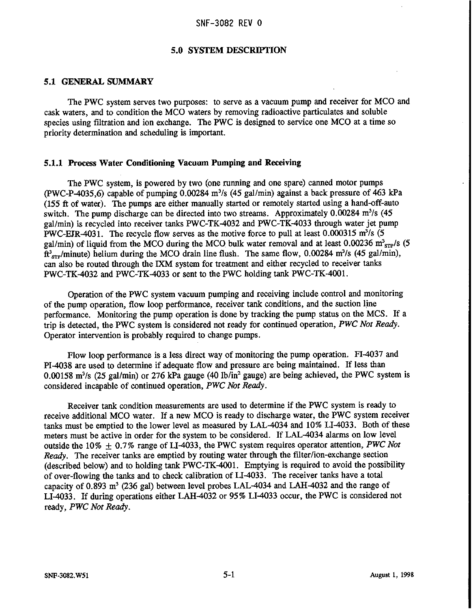## **5.0 SYSTEM DESCRE'TION**

#### 5.1 GENERAL SUMMARY

The PWC system servea two purposes: to serve as a vacuum pump and receiver for MCO and cask waters, and to condition the MCO waters by removing radioactive particulates and soluble species using filtration and ion exchange. The PWC is designed to service one MCO at a time so priority determination and scheduling is important.

#### **5.1.1 Process Water Conditioning Vacuum Pumping and Receiving**

The PWC system, is powered by two (one *running* and one **spare) canned motor pumps** (PWC-P-4035,6) capable of pumping 0.00284 m<sup>3</sup>/s (45 gal/min) against a back pressure of 463 kPa (155 fr of water). The pumps are either manually started or remotely started using a hand-off-auto switch. The pump discharge can be directed into two streams. Approximately  $0.00284$  m<sup>3</sup>/s  $(45)$ gal/min) is recycled into receiver tanks PWC-TK-4032 and PWC-TK-4033 through water jet pump PWC-EJR-4031. The recycle flow serves as the motive force to pull at least  $0.000315$  m<sup>3</sup>/s (5) gal/min) of liquid from the MCO during the MCO bulk water removal and at least 0.00236  $m_{\text{srp}}^3$ /s (5  $\text{ft}_{\text{srp}}^3$ /minute) helium during the MCO drain line flush. The same flow, 0.00284 m<sup>3</sup>/s (45 gal/min), can also be routed through the LXM system for treatment and either recycled to receiver tanks PWC-TK-4032 and PWC-TK-4033 or sent to the PWC holding tank PWC-TK-4001.

**Operation** of the PWC system vacuum pumping and receiving include control and monitoring of the pump operation, flow loop performance, receiver tank conditions, and the suction line perforrnsnce. Monitoring the pump operation is done by tracking the pump status on the MCS. If a trip is detected, the PWC system is considered not ready for continued operation, *PWC Not Ready.* Operator intervention is probably required to change pumps.

Flow loop performance is a less direct way of monitoring the pump operation. FI-4037 and PI-4038 are used to determine if adequate flow and pressure are being maintained. If less than 0.00158 m<sup>3</sup>/s (25 gal/min) or 276 kPa gauge (40 lb/in<sup>2</sup> gauge) are being achieved, the PWC system is considered incapable of continued operation, *PWC Not Reedy.*

Receiver tank condition measurements are used to determine if the PWC system is ready to receive additional MCO water. If a new MCO is ready to discharge water, the PWC system receiver tanks must be emptied to the lower level as measured by LAL-4034 and 10% LI-4033. Both of these meters must be active in order for the system to be considered. If LAL-4034 alarms on low level outside the 10% ~ 0.7% range of LI+333, the PWC system requires operator attention, *PWC Not Ready. The* receiver tanks are emptied by routing water through the tilter/ion-exchange section (described below) and to holding tank PWC-TK4001. Emptying is required to avoid the possibility of over-flowing the tanks and to check calibration of LI-4033. The receiver tanka have a total capacity of 0.893  $m^3$  (236 gal) between level probes LAL-4034 and LAH-4032 and the range of LI-4033. If during operations either LAH-4032 or 95% LI-4033 occur, the PWC is considered not ready, *PWC Not Reedy.*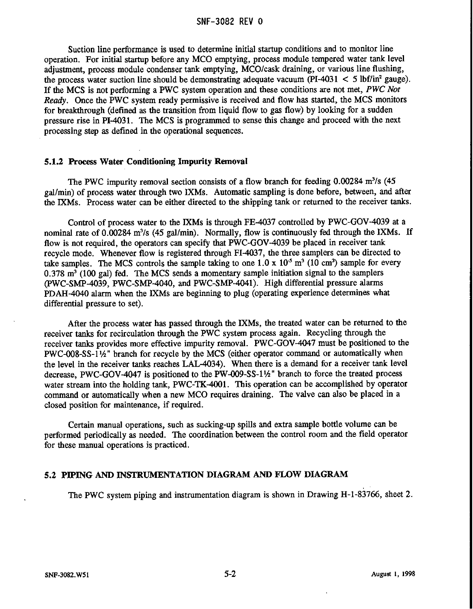Suction line performance is used to determine initial startup conditions and to monitor line operation. For initial startup before any MCO emptying, process module tempered water tank level adjustment, process module condenser tank emptying, MCO/caak draining, or various line flushing, the process water suction line should be demonstrating adequate vacuum (PI-4031  $\lt$  5 lbf/in<sup>2</sup> gauge). If the MCS is not performing a PWC system operation and these conditions are not met, F'WC*Not Ready.* Once the PWC system ready permissive is received and flow has started, the MCS monitors for breakthrough (defined as the transition from liquid flow to gas flow) by looking for a sudden pressure rise in PI-4031. The MCS is programmed to sense this change and proceed with the next processing step as defined in the operational sequences.

# **5.1.2 Process Water Conditioning Impurity Removal**

The PWC impurity removal section consists of a flow branch for feeding  $0.00284$  m<sup>3</sup>/s (45 gal/min) of process water through two IXMs. Automatic sampling is done before, between, and after the IXMS. Process water can be either directed to the shipping tank or returned to the receiver tanks.

Control of process water to the IXMS is through FE-4037 controlled by PWC-GOV-4039 at a nominal rate of 0.00284 m<sup>3</sup>/s (45 gal/min). Normally, flow is continuously fed through the IXMs. If flow is not required, the operators can specify that PWC-GOV-4039 be placed in receiver tank recycle mode. Whenever flow is registered through FI-4037, the three samplers can be directed to take samples. The MCS controls the sample taking to one  $1.0 \times 10^{-5}$  m<sup>3</sup> (10 cm<sup>3</sup>) sample for every 0.378  $\text{m}^3$  (100 gal) fed. The MCS sends a momentary sample initiation signal to the samplers (PWC-SMP4039, PWC-SMP-4040, and PWC-SMP-4041). High differential pressure alarms PDAH4040 alarm when the IXMS are begiming to plug (operating experience determines what differential pressure to set).

After the process water has passed through the IXMS, the treated water can be returned to the receiver tanks for recirculation through the PWC system process again. Recycling through the receiver tanks provides more effective impurity removal. PWC-GOV-4047 must be positioned to the PWC-008-SS-11/2" branch for recycle by the MCS (either operator command or automatically when the level in the receiver tanks reaches LAL-4034). When there is a demand for a receiver tank level decrease, PWC-GOV-4047 is positioned to the PW-009-SS-11/2" branch to force the treated process water stream into the holding tank, PWC-TK-4001. This operation can be accomplished by operator command or automatically when a new MCO requires draining. The valve can also be placed in a closed position for maintenance, if required.

Certain manual operations, such as sucking-up spills and extra sample bottle volume can be performed periodically as needed. The coordination between the control room and the field operator for these manual operations is practiced.

#### 5.2 **PIPING AND INSTRUMENTATION DIAGRAM AND FLOW DIAGRAM**

The PWC system piping and instrumentation diagram is shown in Drawing H-l-83766, sheet 2.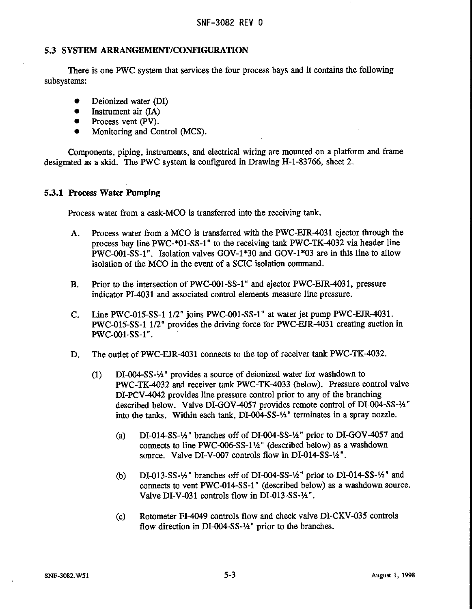## **5.3 SYSTEM ARRANGEMENT/CONFIGURATION**

There is one PWC system that services the four process bays and it contains the following subsystems:

- Deionized water (DI)
- Instrument air  $(IA)$ <br>• Process vent  $(PV)$
- Process vent (PV).
- . Monitoring and Control (MCS).

Components, piping, instruments, and electrical wiring are mounted on a platform and frame designated as a skid. The PWC system is configured in Drawing H-l-83766, sheet 2.

## 5.3.1 Process Water Pumping

Process water from a cask-MCO is transferred into the receiving tank.

- A. Process water from a MCO is transferred with the PWC-EJR-4031 ejector through the process bay line PWC-\*01-SS-1" to the receiving tank PWC-TK-4032 via header line PWC-001-SS-1". Isolation valves GOV-1\*30 and GOV-1\*03 are in this line to allow isolation of the MCO in the event of a SCIC isolation command.
- B. Prior to the intersection of PWC-001-SS-1" and ejector PWC-EJR-4031, pressure indicator P14031 and associated control elements measure line pressure.
- c. Line PWC-015-SS-1 1/2" joins PWC-001-SS-1" at water jet pump PWC-EJR-4031. PWC-015-SS-1 1/2" provides the driving force for PWC-EJR-4031 creating suction in Pwc-ool-ss-l ".
- D. The outlet of PWC-EJR-4031 connects to the top of receiver tank PWC-TK-4032.
	- (1) DI-004-SS-1/2" provides a source of deionized water for washdown to PWC-TK4032 and receiver tank PWC-TK-4033 (below). Pressure control valve DI-PCV-4042 provides line pressure control prior to any of the branching described below. Valve DI-GOV-4057 provides remote control of DI-004-SS-1/2" into the tanks. Within each tank, DI-004-SS-1/2" terminates in a spray nozzle.
		- **(a)** D1-014-SS-%" branchea off of DI-004-SS-'A" prior to DI-GOV4057 and connects to line PWC-006-SS-11/2" (described below) as a washdown source. Valve DI-V-007 controls flow in DI-014-SS-14".
		- **@)** D1-013-SS-%" branches off of D1-004-SS-%" prior to D1-014-SS-%" and comects to vent PWC-014-SS-1" (described below) as a washdown source. Valve DI-V-031 controls flow in DI-013-SS-%".
		- **(c)** Rotometer FI-4049 controls flow and check valve DI-CKV-035 controls flow direction in DI-004-SS-1/2" prior to the branches.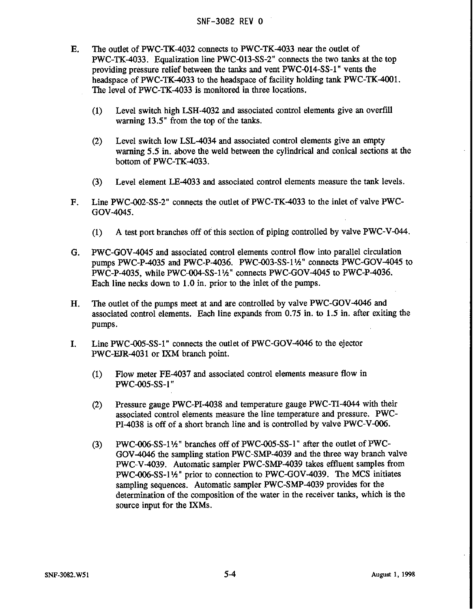- E. The outfet of PWC-TK-4Q32 connects to PWC-TK-4033 near the outlet of PWC-TK4033. Equalization line PWC-013-SS-2° connects the two tanks at the top providing pressure relief between the tanks and vent PWC-014-SS-1" vents the headspace of PWC-TK-4033 to the headspace of facility holding tank PWC-TK-4001. The level of PWC-TK-4033 is monitored in three locations.
	- (1) Level switch high LSH-4032 end associated control elements give an overfill warning 13.5" from the top of the tanks.
	- (2) Level switch low LSL-4034 and associated control elements give an empty warning 5.5 in. above the weld between the cylindrical and conical sections at the bottom of PWC-TK-4033.
	- (3) Level element LE-4033 and associated control elements measure the tank levels.
- F. Line PWC-002-SS-2" connects the outlet of PWC-TK-4033 to the inlet of valve PWC-GOV-4045.
	- (1) A teat port brenchea off of this section of piping controlled by valve PWC-V-044.
- G. PWC-GOV4045 and associated control elements control flow into parallel circulation pumps PWC-P-4035 and PWC-P4036. PWC-003-SS-1 %" comects PWC-GOV-4045 to PWC-P-4035, while PWC-004-SS-11/2" connects PWC-GOV-4045 to PWC-P-4036. Each line necks down to 1.0 in. prior to the inlet of the pumps.
- H. The outlet of the pumps meet at and are controlled by valve PWC-GOV-4046 and associated control elements. Each line expands from 0.75 in. to 1.5 in. after exiting the pumps.
- I. Line PWC-005-SS-1" connects the outlet of PWC-GOV-4046 to the ejector PWC-EJR4031 or IXM branch point.
	- (1) Flow meter FE4037 and associated control elements measure flow in PWC-005-SS-1 "
	- (2) Pressure gauge PWC-PI-4038 and temperature gauge PWC-TI-4044 with their associated control elements measure the line temperature and pressure. PWC-PI-4038 is off of a short branch line and is controlled by valve PWC-V-006.
	- (3) PWC-006-SS-1%." branches off of PWC-005-SS-l° after the outlet of PWC-GOV-4046 the sampling station PWC-SMP4039 and the three way branch valve PWC-V4039. Automatic sampler PWC-SMP-4039 takes effluent samples from PWC-006-SS-1 %" prior to connection to PWC-GOV-4039. The MCS initiatea sampling sequences. Automatic sampler PWC-SMP-4039 providea for the determination of the composition of the water in the receiver tanka, which is the source input for the IXMS.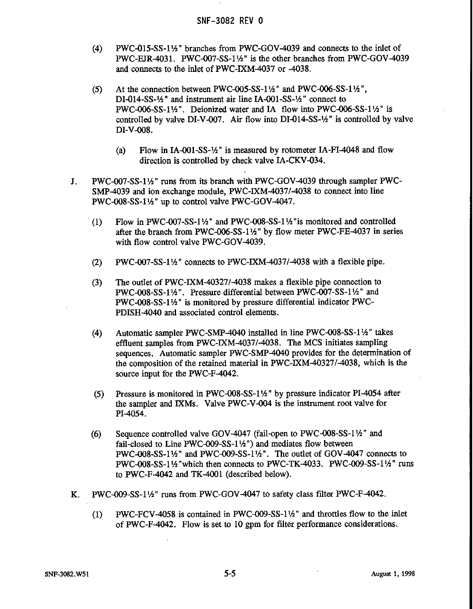- (4) PWC-015-SS-1%" branches from PWC-GOV-4039 and connects to the inlet of PWC-EJR-4031. PWC-007-SS-1 %" is the other branchea from PWC-GOV-4039 and connects to the inlet of PWC-IXM-4037 or -4038.
- (5) At the connection between PWC-005-SS-1 $\frac{1}{2}$ " and PWC-006-SS-1 $\frac{1}{2}$ ", D1-014-SS-%" and instrument air line IA-001-SS-%" connect to PWC-006-SS-11/2". Deionized water and IA flow into PWC-006-SS-11/2" is controlled by valve DI-V-007. Air flow into DI-014-SS-1/2" is controlled by valve DI-V-008.
	- (a) Flow in IA-001-SS-1/2" is measured by rotometer IA-FI-4048 and flow direction is controlled by check valve IA-CKV-034.
- J. PWC-007-SS-1 %" runs from its branch with PWC-GOV-4039 through sampler PWC-SMP-4039 and ion exchange module, PWC-IXM-4037/-4038 to connect into line PWC-008-SS-11/2" up to control valve PWC-GOV-4047.
	- (1) Flow **in** PWC-007-SS-I %" and PWC-008-SS-1 %"is monitored and controlled after the branch from PWC-006-SS-11/2" by flow meter PWC-FE-4037 in series with flow control valve PWC-GOV-4039.
	- $(2)$  PWC-007-SS-11/<sub>2</sub>" connects to PWC-IXM-4037/-4038 with a flexible pipe.
	- (3) The outlet of PWC-IXM-40327/-4038 makes a flexible pipe connection to PWC-008-SS-1 %". Pressure differential between PWC-007-SS-1 %" and PWC-008-SS-11/2" is monitored by pressure differential indicator PWC-PDISH-4040 and associated control elements.
	- (4) Automatic sampler PWC-SMP-4040 installed in line PWC-008-SS-1 $\frac{1}{2}$ " takes effluent samples from PWC-IXM-4037/-4038. The MCS initiates sampling sequences. Automatic sampler PWC-SMP-4040 provides for the determination of the composition of the retained material in PWC-IXM-40327/4038, which is the source input for the PWC-F-4042.
	- (5) Pressure is monitored in PWC-008-SS-1%" by pressure indicator PI-4054 after the sampler and IXMS. Valve PWC-V-004 is the instrument root valve for PI-4054.
	- (6) Sequence controlled valve GOV-4047 (fail-open to PWC-008-SS-1 $1/2$ " and fail-closed to Line PWC-009-SS-1 %") and mediates flow between PWC-008-SS- $1\frac{1}{2}$ " and PWC-009-SS- $1\frac{1}{2}$ ". The outlet of GOV-4047 connects to PWC-008-SS-11/2" which then connects to PWC-TK-4033. PWC-009-SS-11/2" runs to PWC-F-4Q42 and TK-4001 (described below).
- K. PWC-009-SS-11/2" runs from PWC-GOV-4047 to safety class filter PWC-F-4042.
	- (1) PWC-FCV-4058 is contained in PWC-009-SS-1 $\frac{1}{2}$ " and throttles flow to the inlet of PWC-F4042. Flow is set to 10 gpm for filter performance considerations.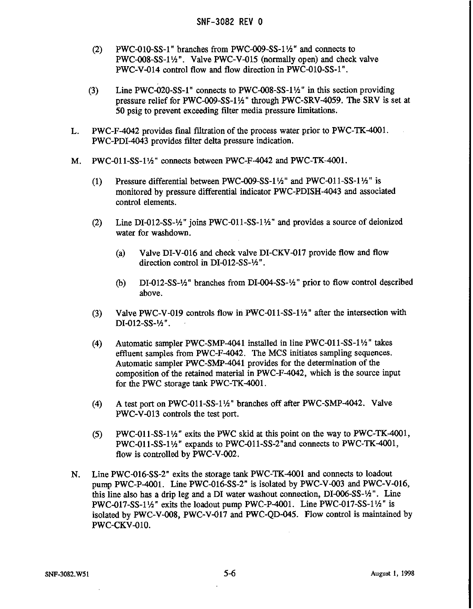- **(2)** PWC-O1O-SS-1" branches from PWC-009-SS-1 %" and connects to PWC-008-SS-11/2". Valve PWC-V-015 (normally open) and check valve PWC-V-014 control flow and flow direction in PWC-O1O-SS-1".
- (3) Line PWC-020-SS-1" connects to PWC-008-SS-1 $\frac{1}{2}$ " in this section providing pressure relief for PWC-009-SS-1½" through PWC-SRV-4059. The SRV is set at 50 psig to prevent exceeding filter media pressure limitations.
- L. PWC-F-4042 provides final filtration of the process water prior to PWC-TK-4001. PWC-PDI-4043 providea filter delta pressure indication.
- M. PWC-011-SS-116" connects between PWC-F-4042 and PWC-TK-4001.
	- (1) Pressure differential between PWC-009-SS-11/2" and PWC-011-SS-11/2" is monitored by pressure differential indicator PWC-PDISH-4043 and associated control elements.
	- (2) Line DI-012-SS- $1/2$ " joins PWC-011-SS-1 $1/2$ " and provides a source of deionized water for waahdown.
		- (a) Valve DI-V-016 and check valve DI-CKV-017 provide flow and flow direction control in DI-012-SS-'A".
		- @) DI-012-SS-'A" branches from DI-004-SS-%" prior to flow control described above.
	- (3) Valve PWC-V-019 controls flow in PWC-011-SS-11/2" after the intersection with DI-012-SS-1/2".
	- (4) Automatic sampler PWC-SMP-4041 installed in line PWC-011-SS-1 %" takes effluent samples from PWC-F-4042. The MCS initiates sampling sequences. Automatic sampler PWC-SMP-4041 provides for the determination of the composition of the retained material in PWC-F-4042, which is the source input for the PWC storage tank PWC-TK-4001.
	- (4) A test port on PWC-011-SS-11/2" branches off after PWC-SMP-4042. Valve PWC-V-013 controls the test port.
	- (5) PWC-011-SS-11/2" exits the PWC skid at this point on the way to PWC-TK-4001, PWC-011-SS-11/2" expands to PWC-011-SS-2" and connects to PWC-TK-4001, flow is controlled by PWC-V-002.
- N. Line PWC-016-SS-2" exits the storage tank PWC-TK-4001 and connects to loadout pump PWC-P-4001. Line PWC-016-SS-2" is isolated by PWC-V-003 and PWC-V-016, this line also has a drip leg and a DI water washout connection, DI-006-SS-1/2". Line PWC-017-SS-11/2" exits the loadout pump PWC-P-4001. Line PWC-017-SS-11/2" is isolated by PWC-V-008, PWC-V-017 and PWC-QD-045. Flow control is maintained by PWC-CKV-O1O.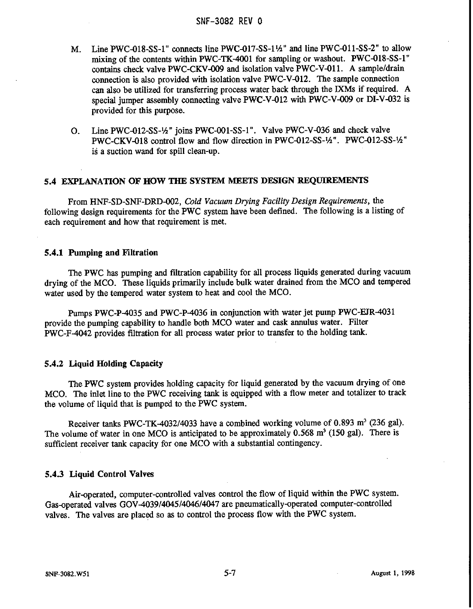- **M. L]nePWC-018-SS-l° connectsline** PWC-017-SS-1%" and linePWC-011-SS-2" to allow mixing of the contents within PWC-TK-4001 for sampling or washout. PWC-018-SS-1" contains check valve PWC-CKV-009 and isolation valve PWC-V-011. A sample/drain connection is also provided with isolation valve PWC-V-012. The sample connection can also be utilized for transferring process water back through the IXMS if required. A special jumper assembly connecting valve PWC-V-012 with PWC-V-009 or DI-V-032 is provided for this purpose.
- o. Line PwC-012-SS-'A" joins PWC-001-SS-1". Valve PWC-V-036 and check valve PWC-CKV-018 control flow and flow direction in PWC-012-SS-14". PWC-012-SS-14" is a suction wand for spill clean-up.

#### 5.4 EXPLANATION OF HOW THE **SYSTEM MEETS DESIGN REQUIREMENTS**

From HNF-SD-SNF-DRD-O02, *Cold Vacuum Drying Facility Design Requirements, the* following design requirements for the PWC system have been defined. The following is a listing of each requirement and how that requirement is met.

#### **5.4.1 Pumping and Filtration**

The PWC has pumping and filtration capability for all process liquids generated during vacuum drying of the MCO. These liquids primarily include bulk water drained from the MCO and tempered water used by the tempered water system to heat and cool the MCO.

Pumps PWC-P-4035 and PWC-P-4036 in conjunction with water jet pump PWC-EJR-4031 provide the pumping capability to handle both MCO water and cask annulus water. Filter PWC-F-4042 providea filtration for all process water prior to transfer to the holding tank.

#### 5.4.2 Liquid Holding Capacity

The PWC system providea holding capacity for liquid generated by the vacuum drying of one MCO. The infet line to the PWC receiving tank is equipped with a flow meter and totalizer to track the volume of liquid that is pumped to the PWC system.

Receiver tanks PWC-TK-4032/4033 have a combined working volume of 0.893 m<sup>3</sup> (236 gal). The volume of water in one MCO is anticipated to be approximately  $0.568$  m<sup>3</sup> (150 gal). There is sufficient receiver tank capacity for one MCO with a substantial contingency.

## 5.4.3 Liquid Control Valves

**Ar-operated, computer-controlled vafvea control the flow of liquid** within the PWC system. Gas-operated valves GOV-4039/4045/4046/4047 are pneumatically-operated computer-controlled valves. The valves are placed so as to control the process flow with the PWC system.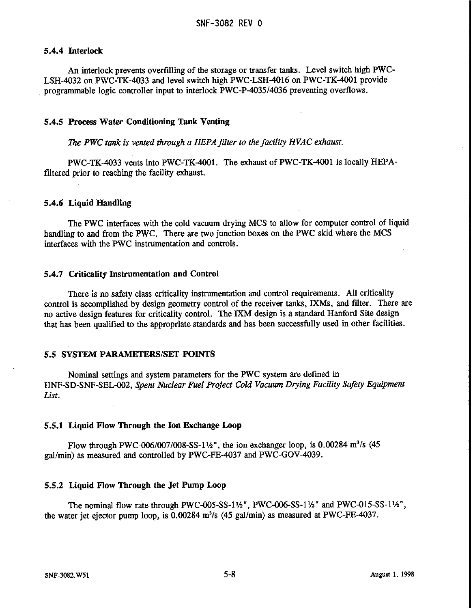## *5.4.4* **Interlock**

An interlock prevents overfilling of the storage or transfer tanks. Level switch high PWC-LSH-4032 on PWC-TK-4033 and level switch high PWC-LSH-4016 on PWC-TK-4001 provide programmable **logic controller input to interlock PWC-P4035/4036 preventing overflows.**

#### **5.4.5 Process Water Conditioning Tank Venting**

*<i>Ihe PWC tank is vented through a HEPA filter to the facility HVAC exhaust.* 

PWC-TK4033 vents into PWC-TK4001. The exhaust of PWC-TK4001 is locally HEPAtiltered prior to reaching the facility exhaust.

#### **5.4.6 Iiquid Handling**

The PWC interfaces with the cold vacuum drying MCS to allow for computer control of liquid handling to and from the PWC. There are two junction boxes *on the* PWC skid where the MCS interfaces with the PWC instrumentation and controls.

#### **5.4.7 Criticality Instrumentation and Control**

**There is no safety** class criticality instrumentation and control requirements. All criticality control is accomplished by design geometry control of the receiver tanks, IXMa, and filter. There are no active design features for criticality control. The IXM design is a standard Hanford Site design that has been qualified to the appropriate standards and has been successfully used in other facilities.

## 5.5 **SYSTEM PARAMETE Rs/sET POINTS**

Nominal settings and system parameters for the PWC system are defined in HNF-SD-SNF-SEL-002, *Spens Nuclear Fuel Project Cold Vacuum Drying Facilip Safety Equipnu?rrt List.*

#### **5.5.1 Ulquid Flow Through the Ion Exchange Loop**

Flow through PWC-006/007/008-SS-11/2", the ion exchanger loop, is 0.00284 m<sup>3</sup>/s (45 gal/min) as measured and controlled by PWC-FE-4037 and PWC-GOV-4039.

## 5.5.2 Liquid Flow Through the Jet Pump Loop

The nominal flow rate through PWC-005-SS-11/2", PWC-006-SS-11/2" and PWC-015-SS-11/2", the water jet ejector pump loop, is 0.00284 m<sup>3</sup>/s (45 gal/min) as measured at PWC-FE-4037.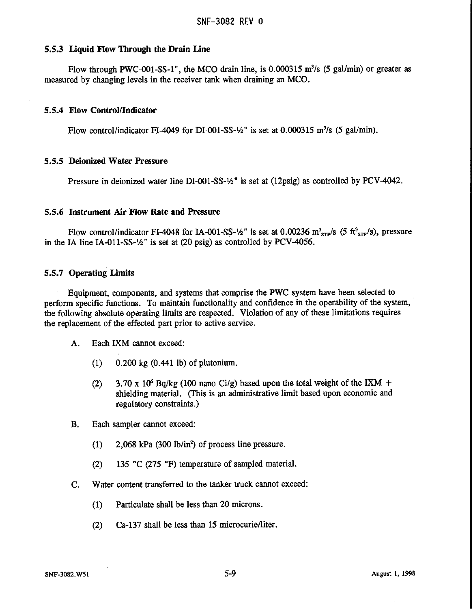## 5.5.3 Iiquid Ftow **Through the Drain IJne**

Flow through PWC-001-SS-1", the MCO drain line, is 0.000315 m<sup>3</sup>/s (5 gal/min) or greater as measured by changing levels in the receiver tank when draining an MCO.

## 5.5.4 Flow ControI/fndicator

Flow control/indicator FI-4049 for DI-001-SS- $\frac{1}{2}$ " is set at 0.000315 m<sup>3</sup>/s (5 gal/min).

## 5.5.5 **Deionized Water** Pressure

Pressure in deionized water line DI-001-SS- $\frac{1}{2}$ " is set at (12psig) as controlled by PCV-4042.

#### 5.5.6 Instrument Air Flow Rate and **Pressure**

Flow control/indicator FI-4048 for IA-001-SS- $\frac{1}{2}$ " is set at 0.00236 m<sup>3</sup><sub>srp</sub>/s (5 ft<sup>3</sup><sub>srp</sub>/s), pressure in the IA line IA-011-SS- $\frac{1}{2}$ " is set at (20 psig) as controlled by PCV-4056.

## 5.5.7 Operating Limits

Equipment, components, and systems that comprise the PWC system have been selected to perform specific functions. To maintain functionality and confidence in the operability of the system, the following abaolute operating limits are respected. Violation of any of these limitations requires the replacement of the effected part prior to active service.

- A. Each IXM cannot exceed:
	- (1) 0.200 kg (0.441 lb) of plutonium.
	- (2) 3.70 x 10<sup>6</sup> Bq/kg (100 nano Ci/g) based upon the total weight of the IXM + shielding material. (This is an administrative limit based upon economic and regulatory constraints.)
- B. Each sampler cannot exceed:
	- $(1)$  **2,068 kPa**  $(300 \text{ lb/in}^2)$  of process line pressure.
	- (2) 135 "C (275 "F) temperature of sampled material.
- C. Water content transferred to the tanker truck cannot exceed
	- (1) Particulate shall be less than 20 microns.
	- (2) CS-137 shall be leas than 15 microcurie/liter.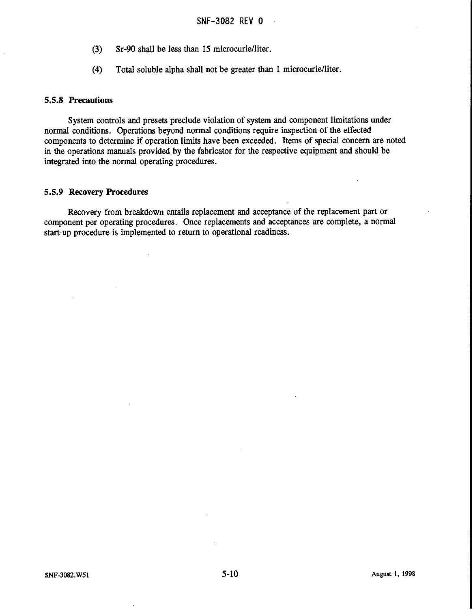- **(3)** Sr-90 shall be leas than 15 microcurie/liter.
- (4) Total soluble alpha shall not be greater than 1 microcurie/liter.

#### **5.5.8 Precautions**

System controls and presets preclude violation of system and component limitations under normal conditions. Operations beyond normal conditions require inspection of the effected components to determine if operation limits have been exceeded. Items of special concern are noted in the operations manuals provided by the fabricator for the respective equipment and should be integrated into the normal operating procedures.

## **5.5.9 Recovery Procedures**

Recovery from breakdown entails replacement and acceptance of the replacement part or component per operating procedures. Once replacements and acceptances are complete, a normal start-up procedure is implemented to return to operational readiness.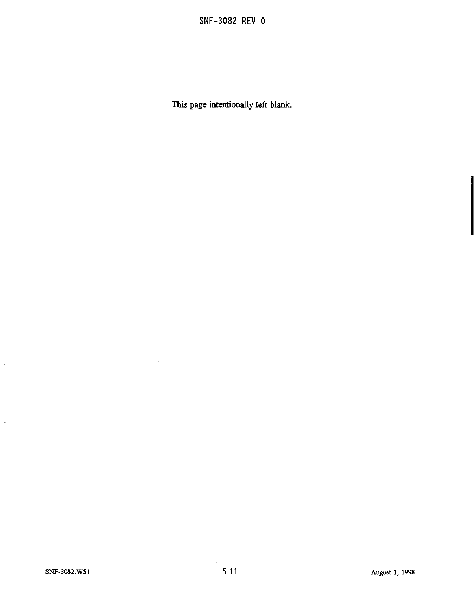**SNF-3082 REV O**

This **page** intentionally left blank.

 $\cdot$ 

l.

 $\ddot{\phantom{a}}$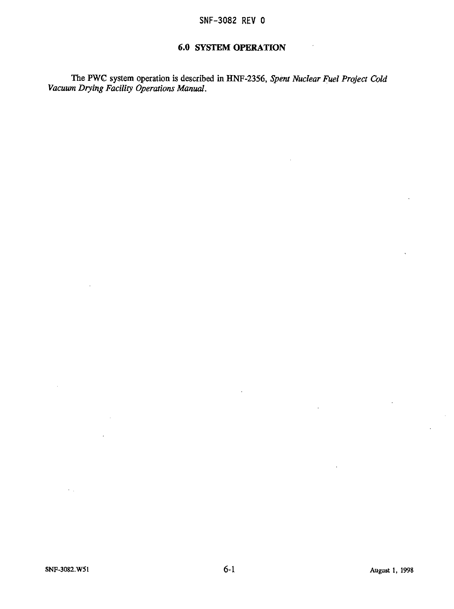# **6.0 SYSTEM OPERATION**

The PWC system operation is described in HNF-2356, *Spent Nuclear Fuel Projecr Cold Vacuum Dying Faciliry Qoerarions Manual.*

 $\sim$   $\sim$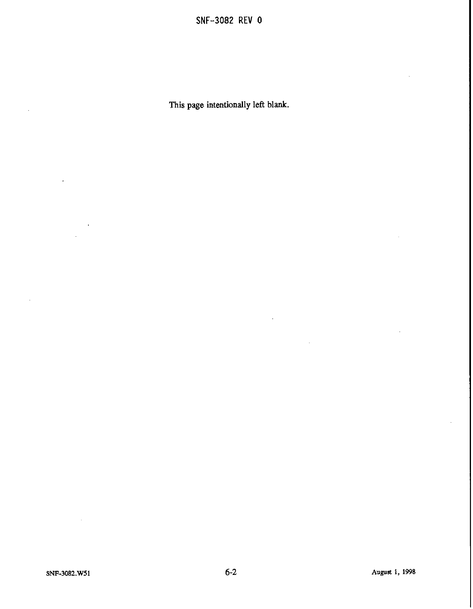**SNF-3082 REV O**

This page intentionally left blank.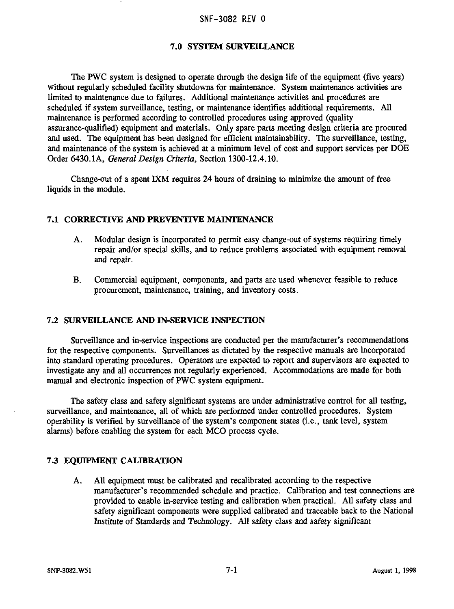## **7.0 SYSTEM SURVEILLANCE**

The PWC system is designed to operate through the design life of the equipment (five years) without regularly scheduled facility shutdowns for maintenance. System maintenance activities are limited to maintenance due to failures. Additional maintenance activities and procedures are scheduled if system surveillance, testing, or maintenance identifies additional requirements. All maintenance is performed according to controlled procedures using approved (quality sssurance-qudified) equipment and materials. Ordy spare parta meeting design criteria are procured and used. The equipment has been designed for efficient maintainability. The surveillance, testing, and maintenance of the system is achieved at a minimum level of cost and support services per DOE Order 6430.1A, *General Design Criteria*, Section 1300-12.4.10.

Change-out of a spent IXM requires 24 hours of draining to minimize the amount of free liquids in the module.

# **7.1 CORRECTIVE AND PREVENTIVE MAINTENANCE**

- A. Modular design is incorporated to permit easy change-out of systems requiring timely repair and/or special skills, and to reduce problems associated with equipment removal and repair.
- B. Commercial equipment, components, and parta are used whenever feasible to reduce procurement, maintenance, training, and inventory costs.

## 7.2 **SURVEILLANCE AND IN-SERVICE INSPECTION**

Surveillance and in-service inspections are conducted per the manufacturer's recommendations for the respective components. Surveillances as dictated by the respective manuals are incorporated into standard operating procedures. Operators are expected to report and supervisors are expected to investigate any and all occurrences not regularly experienced. Accmrmodations are made for both manual and electronic inspection of PWC system equipment.

The safety class end safety significant systems are under administrative control for all testing, surveillance, and maintenance, all of which are performed under controlled procedures. System operability is verified by surveillance of the system's component states (i.e., tank level, system alarms) before enabling the system for each MCO process cycle.

## 7.3 EQUIPMENT CALIBRATION

A. All equipment must be calibrated and recalibrated according to the respective manufacturer's recommended schedule and practice. Calibration and test connections are provided to enable in-service testing and calibration when practical. All safety class and safety significant components were supplied calibrated and traceable back to the National Institute of Standards and Technology. All safety class and safety significant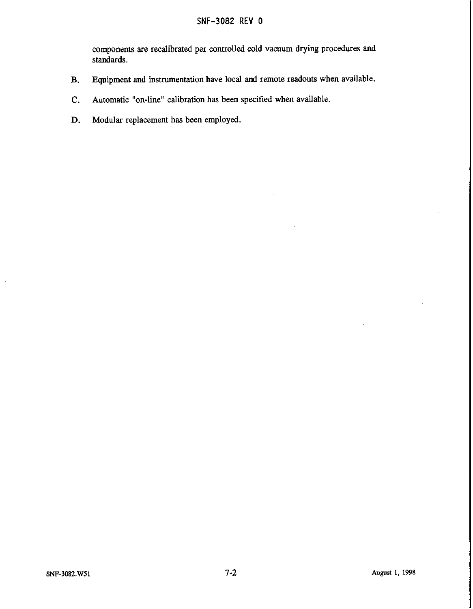components are recalibrated per controlled cold vacuum drying procedures and standards.

- B. Equipment and instrumentation have local and remote readouts when available.
- C. Automatic "on-line" calibration has been specified when available.
- D. Modular replacement has been employed.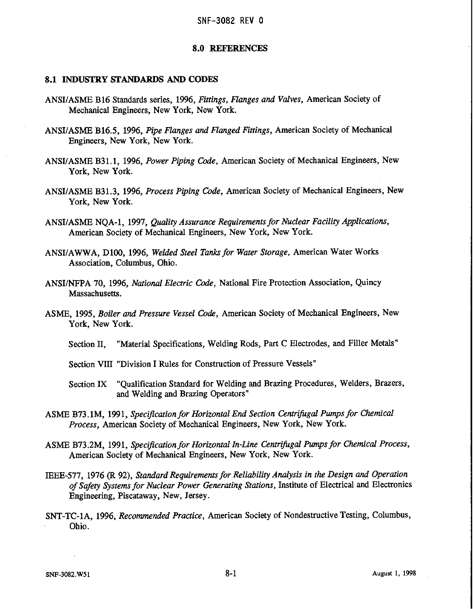## **8.0 REFERENCES**

#### **8.1 INDUSTRY STANDARDS AND CODES**

- ANSIIASME B16 Standards series, 1996, *Fittings, Flanges and Valves,* American Society of Mechanical Engineers, New York, New York.
- ANSIIASME B16.5, 1996, *Pipe Flanges and Hanged Fittings,* American Society of Mechanical Engineers, New York, New York.
- ANSI/ASMEB31. 1, 1996, *Power Piping Code,* American Society of Mechanical Engineers, New York, New York.
- ANSI/ASME B3 1.3, 1996, *Process Piping Code,* American Society of Mechanical Engineers, New York, New York.
- ANSIIASME NQA-1, 1997, *Quality Assurance Requirements for Nuclear Facility Applications,* American Society of Mechanical Engineers, New York, New York.
- ANSIIAWWA, D1OO, 1996, *Welded Steel Tanksfor Water Storage,* American Water Works Association, Columbus, Ohio.
- ANSI/NFPA 70, 1996, *National Electric Code*, National Fire Protection Association, Quincy Massachusetts.
- ASME, 1995, *Boiler ami Pressure Vessel &de,* American Society of Mechanical Engineers, New York, New York.
	- Section II, "Material Specifications, Welding Rods, Part C Electrodes, and Filler Metals"
	- Section VIII "Division I Rules for Construction of Pressure Vessels"
	- Section IX "Qualification Standard for Welding and Brazing Procedures, Welders, Brazers, and Welding and Brazing Operators"
- ASME B73. M, 1991, *Spect~carion for Horuontal End Section Centri@gol Pumps for Chemical Process,* American Society of Mechanical Engineers, New York, New York.
- ASME B73.2M, 1991, *Specijic&"onfor HorizonroJ In-Line Cenrn.goJ Pumps for ChemicaJ Process,* American Society of Mechanical Engineers, New *York, New* York.
- IEEE-577, 1976 (R 92), *Standard Requirements for Reliability Analysis in the Design and Operation of Safety @stems for Nuclear Power Generating Stm"ons,* **Institute**of Electrical and Electronics Engineering, Piscataway, New, Jersey.
- SNT-TC-1A, 1996, *Recommended Practice*, American Society of Nondestructive Testing, Columbus, Ohio.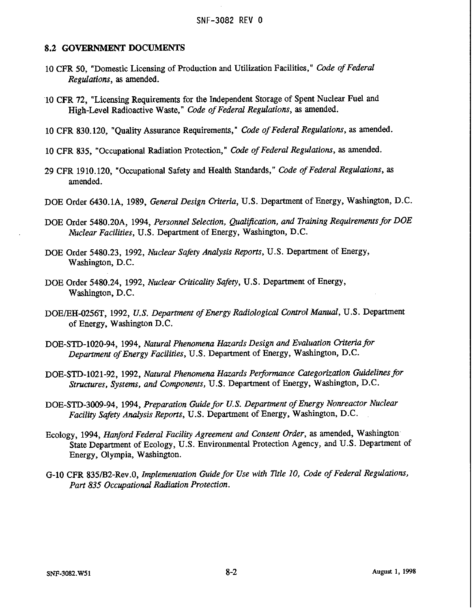## *8.2* **GOVERNMENT DOCUMENTS**

- 10 CFR 50, "Domestic Licensing of Production and Utilization Facilities, " Cbde *of Federal*  $Re$ *eulations*, as amended.
- 10 CFR 72, "Llcenaing Requirements for the Independent Storage of Spent Nuclear Fuel and High-Level Radioactive Waste," *Code of Federal Regulations, aa* amended.
- 10 CFR 830.120, "Quality Assurance Requirements," *Code of Federid Regulations, aa* amended.
- 10 CFR 835, "Occupational Radiation Protection," Code *of Federal Regrdations, aa* amended.
- *29* CFR 1910.120, "Occupational Safety and Health Standards, " *Cbde of Federal Regukrrions, aa* amended.
- DOE Order 6430. 1A, 1989, *General Design Criteria,* U.S. Department of Energy, Washington, D.C.
- DOE Order 5480.20A, 1994, *Personnel Selection, Qruzfijication, and Training Requirements for DOE Nuclear Facilities,* U.S. Department of Energy, Washington, D.C.
- DOE Order 5480.23, 1992, *Nuclear Safety Analysis Reports*, U.S. Department of Energy, Washington, D.C.
- DOE Order 5480.24, 1992, *Nuclear Criticality Safety*, U.S. Department of Energy, Washington, D.C.
- DOEIEH-0256T, 1992, *U.S. Deparntrent of Energy Radiological C2mtrol Manual,* U.S. Department of Energy, Washington D.C.
- DOE-STD-1020-94, 1994, *Natural Phenomena Hazards Design and Evaluation Criteria for Department of Energy Facilities,* U.S. Department of Energy, Washington, D.C.
- *DOE-STD-1021-92, 1992, Notural Phenomena Hazards Performance Gztegorizoiion Guidelines for Structures, Systems, and Components,* U.S. Department of Energy, Washington, D.C.
- DOE-STD-3009-94, 1994, *Preparation Guide for U.S. Depanmeru of Energy Nonreactor Nuclear Facility Safety Anafysis Repons,* U.S. **Department of Energy, Washington,** D.C.
- Ecology, 1994, *Hanford Federal Facility Agreement and Consent Order, aa* amended, Washington *State* Department of Ecology, U.S. Environmental Protection Agency, and U.S. Department of Energy, Olympia, Washington.
- G-10 CFR 835/E2-Rev.0, *hrplement~"on Guide for Use with lide IO, Cbde of Federal Regtdm"ons, Part 835 Occupational Radiation Protection.*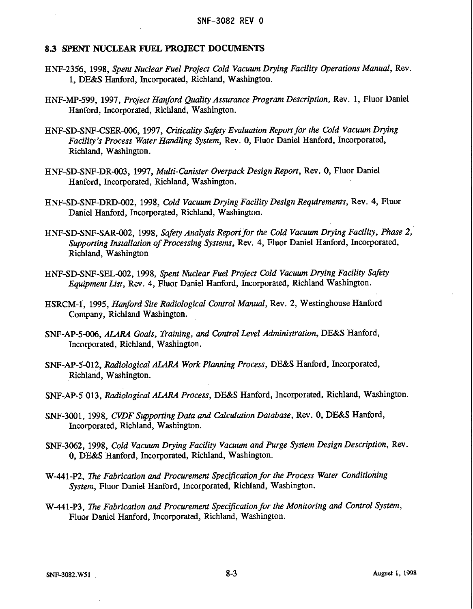## 8.3 **SPENT NUCLEAR FUEL PROJECT DOCUMENTS**

- HNF-2356, 1998, *Spent Nuclear Fuel Project Cold Vacuum Drying Faciliy Querations Manual, Rev. 1,* DE&S Hanford, Incorporated, Rlchland, Washington.
- HNF-MP-599, 1997, *Project Hanford Quality Assurance Program Description,* Rev. 1, Fluor Daniel Hanford, Incorporated, Richland, Washington.
- HNF-SD-SNF-CSER-O06, 1997, Criticality *Safety Evalaadon Report for the CWd Vacuum Drying Facility's Process Water Handling System,* Rev. O, Fluor Daniel Hanford, Incorporated, Richland, Washington.
- HNF-SD-SNF-DR-003, 1997, *Multi-Canister Overpack Design Report*, Rev. 0, Fluor Daniel Hanford, Incorporated, Rlchland, Washington.
- HNF-SD-SNF-DRD-O02, 1998, *Cold Vacuum Drying Facility Design Requirements,* Rev. 4, Fhror Daniel Hanford, Incorporated, Richland, Washington.
- HNF-SD-SNF-SAR-O02, 1998, *Safety Arudysis Report for dw CWd Vacuum Drying Facility, Pkase 2, Supporting Installation of Processing Systems, Rev. 4, Fluor Daniel Hanford, Incorporated,* Richland, Washington
- HNF-SD-SNF-SEL-002, 1998, *Spent Nuclear Fuel Project old Vacuum Drying Facility Safety Equipment List, Rev. 4, Fluor Daniel Hanford, Incorporated, Richland Washington.*
- HSRCM-1, 1995, *Hanford Site Radiological Control Manual,* Rev. 2, Westinghouse Hanford Company, Richland Washington.
- SNF-AP-5-006, ALARA Goals, *Training, and Control Level Administration*, DE&S Hanford, Incorporated, Richland, Washington.
- SNF-AP-5412, *Radiological ALARA Work Planning Process,* DE&S Harrford, Incorporated, Richland, Washington.
- SNF-AP-5413, *Rodiologicaf AURA Process,* DE&S Hanford, Incorporated, Rlchland, Washington.
- SNF-3001, 1998, *CVDF Supporting Dota and Gdcrdation Database,* Rev. O, DE&S Hanford, Incorporated, Rlchland, Washington.
- SNF-3062, 1998, *Cdd Vacuum Drying Facility Vacuum and Purge System Design Description,* Rev. 0, DE&S Hanford, Incorporated, Richland, Washington.
- W-441-P2, The Fabrication and Procurement Specification for the Process Water Conditioning System, Fluor Daniel Hanford, Incorporated, Richland, Washington.
- W-441-P3, lke *Fabricadon and Procurement Specification for the Monitoring and Gmtrol \$utem,* Fluor Daniel Hanford, Incorporated, Richland, Washington.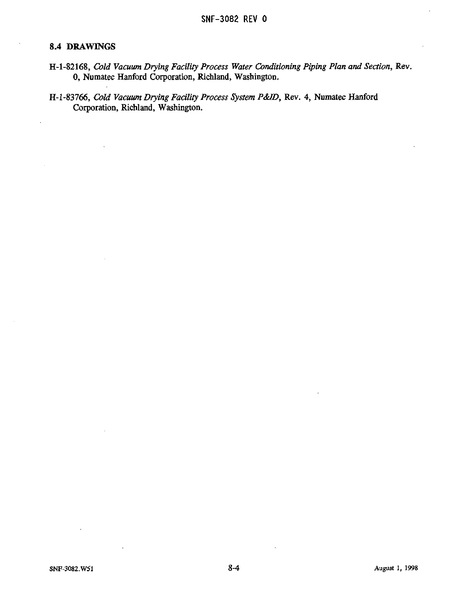# **8.4 DRAWINGS**

- **H-I-82168,** *Cbld Vacuum Drying Facility Process* Water *Ckmditioning Piping Plan* **and Sea"on, Rev.** 0, Numatec Hanford Corporation, Richland, Washington.
- II-l-83766, *Cold Vacuum Drying Facility Process @stem P&D,* Rev. 4, Numatec Hanford Corporation, Richland, Washington.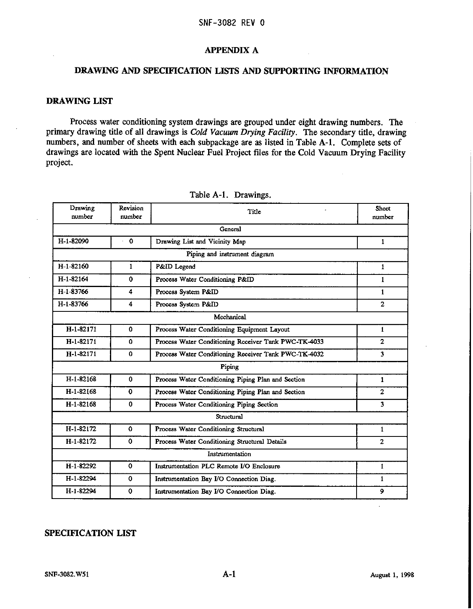## **APPENDIX A**

## **DRAWING AND SPECIFICATION LISTS AND SUPPORTING INFORMATION**

# **DRAWING LIST**

Process **water corrdltioning system drawings are grouped under eight drawing numbers. The primary drawing title of all drawings is** *Cold Vacuum Drying Facility. The* **secondary title, drawing numbers, and number of sheeta with each subpackage are aa listed in Table A-1. Complete seta of drawings are located with the Spent** Nuclear Fuel Project tiles for the Cold Vacuum Drying Facility project.

| Drawing<br>number | Revision<br>number | Title                                                | Sheet<br>number |
|-------------------|--------------------|------------------------------------------------------|-----------------|
|                   |                    | General                                              |                 |
| H-1-82090         | $\mathbf 0$        | Drawing List and Vicinity Map                        | $\mathbf{1}$    |
|                   |                    | Piping and instrument diagram                        |                 |
| H-1-82160         | 1                  | P&ID Legend                                          | $\mathbf{1}$    |
| H-1-82164         | $\Omega$           | Process Water Conditioning P&ID                      | 1               |
| H-1-83766         | 4                  | Process System P&ID                                  | 1               |
| H-1-83766         | 4                  | Process System P&ID                                  | $\overline{2}$  |
|                   |                    | Mechanical                                           |                 |
| H-1-82171         | 0                  | Process Water Conditioning Equipment Layout          | $\mathbf{1}$    |
| H-1-82171         | 0                  | Process Water Conditioning Receiver Tank PWC-TK-4033 | 2               |
| H-1-82171         | $\mathbf{o}$       | Process Water Conditioning Receiver Tank PWC-TK-4032 | 3               |
| Piping            |                    |                                                      |                 |
| H-1-82168         | 0                  | Process Water Conditioning Piping Plan and Section   | $\mathbf{1}$    |
| H-1-82168         | 0                  | Process Water Conditioning Piping Plan and Section   | $\overline{2}$  |
| H-1-82168         | $\bf{0}$           | Process Water Conditioning Piping Section            | 3               |
|                   |                    | Structural                                           |                 |
| H-1-82172         | 0                  | Process Water Conditioning Structural                | $\mathbf{1}$    |
| H-1-82172         | 0                  | Process Water Conditioning Structural Details        | $\overline{2}$  |
|                   |                    | Instrumentation                                      |                 |
| H-1-82292         | 0                  | Instrumentation PLC Remote I/O Enclosure             | $\mathbf{1}$    |
| H-1-82294         | 0                  | Instrumentation Bay I/O Connection Diag.             | $\mathbf{1}$    |
| H-1-82294         | 0                  | Instrumentation Bay I/O Connection Diag.             | 9               |

|  |  | Table A-1. Drawings. |
|--|--|----------------------|
|--|--|----------------------|

# **SPECIFICATION LIST**